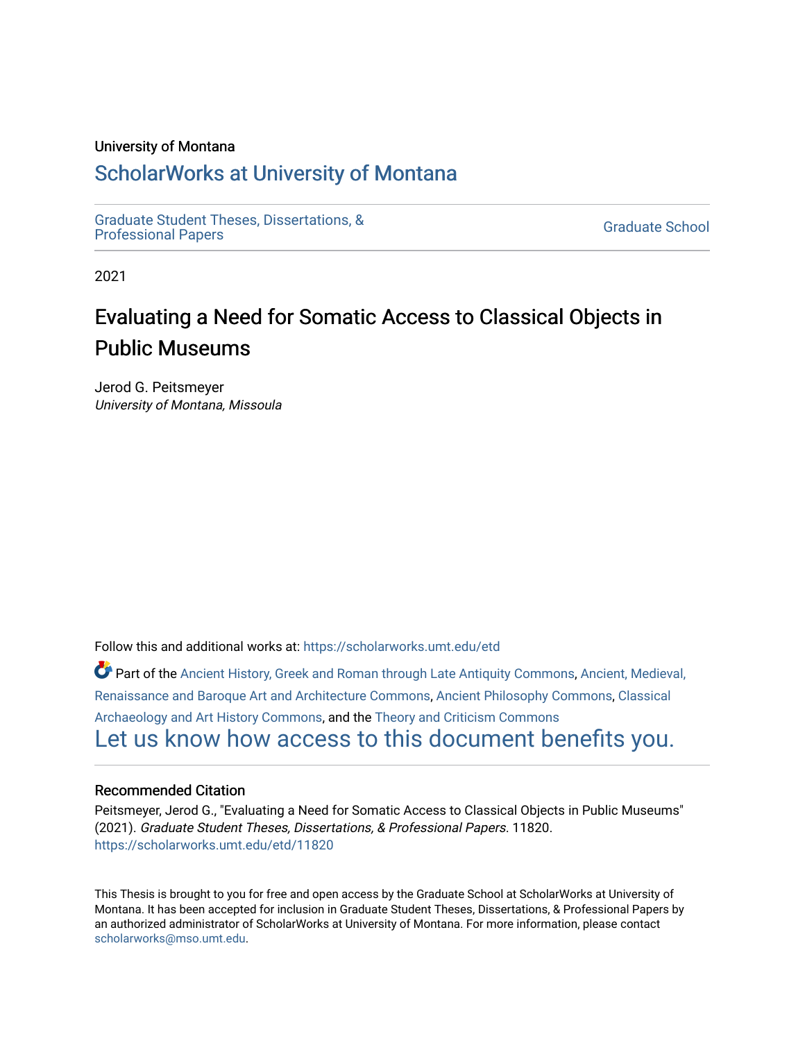#### University of Montana

## [ScholarWorks at University of Montana](https://scholarworks.umt.edu/)

[Graduate Student Theses, Dissertations, &](https://scholarworks.umt.edu/etd) Graduate Student Theses, Dissertations, & Contract Control of the Graduate School [Professional Papers](https://scholarworks.umt.edu/etd) Contract Control of the Contract Control of the Contract Control of the Contract Contract Contract Control of the Contra

2021

# Evaluating a Need for Somatic Access to Classical Objects in Public Museums

Jerod G. Peitsmeyer University of Montana, Missoula

Follow this and additional works at: [https://scholarworks.umt.edu/etd](https://scholarworks.umt.edu/etd?utm_source=scholarworks.umt.edu%2Fetd%2F11820&utm_medium=PDF&utm_campaign=PDFCoverPages) 

Part of the [Ancient History, Greek and Roman through Late Antiquity Commons](http://network.bepress.com/hgg/discipline/447?utm_source=scholarworks.umt.edu%2Fetd%2F11820&utm_medium=PDF&utm_campaign=PDFCoverPages), [Ancient, Medieval,](http://network.bepress.com/hgg/discipline/512?utm_source=scholarworks.umt.edu%2Fetd%2F11820&utm_medium=PDF&utm_campaign=PDFCoverPages)  [Renaissance and Baroque Art and Architecture Commons,](http://network.bepress.com/hgg/discipline/512?utm_source=scholarworks.umt.edu%2Fetd%2F11820&utm_medium=PDF&utm_campaign=PDFCoverPages) [Ancient Philosophy Commons,](http://network.bepress.com/hgg/discipline/448?utm_source=scholarworks.umt.edu%2Fetd%2F11820&utm_medium=PDF&utm_campaign=PDFCoverPages) [Classical](http://network.bepress.com/hgg/discipline/450?utm_source=scholarworks.umt.edu%2Fetd%2F11820&utm_medium=PDF&utm_campaign=PDFCoverPages)  [Archaeology and Art History Commons](http://network.bepress.com/hgg/discipline/450?utm_source=scholarworks.umt.edu%2Fetd%2F11820&utm_medium=PDF&utm_campaign=PDFCoverPages), and the [Theory and Criticism Commons](http://network.bepress.com/hgg/discipline/516?utm_source=scholarworks.umt.edu%2Fetd%2F11820&utm_medium=PDF&utm_campaign=PDFCoverPages)  [Let us know how access to this document benefits you.](https://goo.gl/forms/s2rGfXOLzz71qgsB2) 

#### Recommended Citation

Peitsmeyer, Jerod G., "Evaluating a Need for Somatic Access to Classical Objects in Public Museums" (2021). Graduate Student Theses, Dissertations, & Professional Papers. 11820. [https://scholarworks.umt.edu/etd/11820](https://scholarworks.umt.edu/etd/11820?utm_source=scholarworks.umt.edu%2Fetd%2F11820&utm_medium=PDF&utm_campaign=PDFCoverPages) 

This Thesis is brought to you for free and open access by the Graduate School at ScholarWorks at University of Montana. It has been accepted for inclusion in Graduate Student Theses, Dissertations, & Professional Papers by an authorized administrator of ScholarWorks at University of Montana. For more information, please contact [scholarworks@mso.umt.edu.](mailto:scholarworks@mso.umt.edu)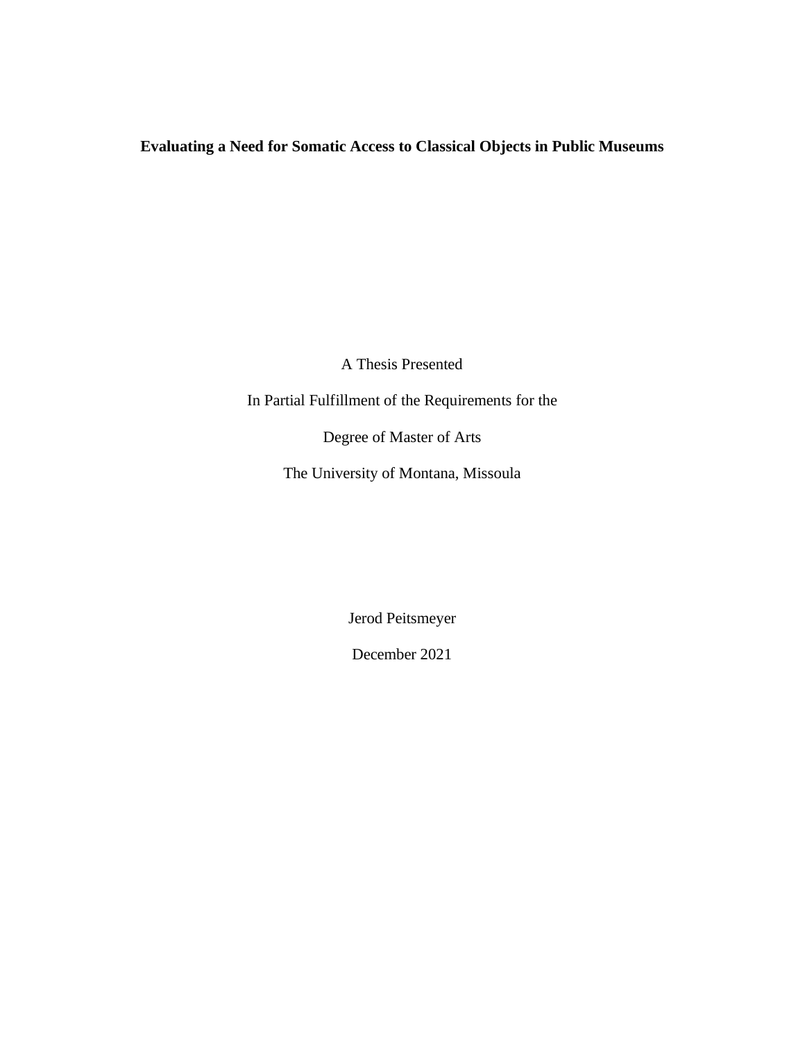## **Evaluating a Need for Somatic Access to Classical Objects in Public Museums**

A Thesis Presented

In Partial Fulfillment of the Requirements for the

Degree of Master of Arts

The University of Montana, Missoula

Jerod Peitsmeyer

December 2021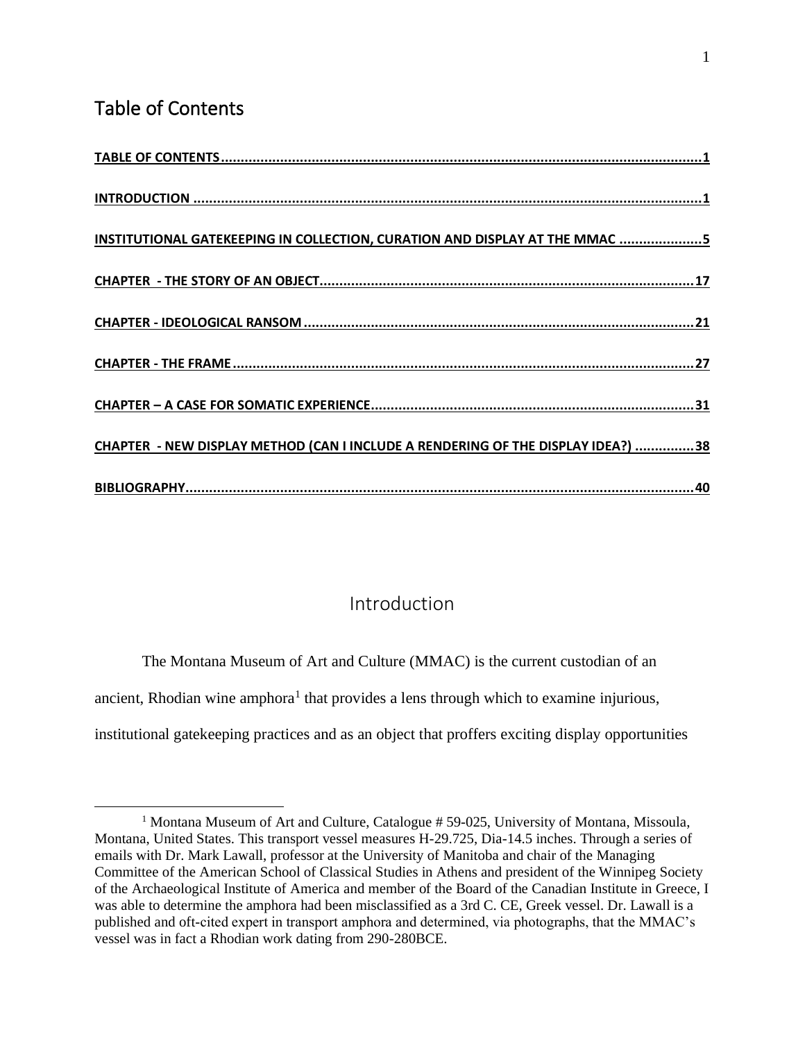## <span id="page-2-0"></span>Table of Contents

| INSTITUTIONAL GATEKEEPING IN COLLECTION, CURATION AND DISPLAY AT THE MMAC 5      |
|----------------------------------------------------------------------------------|
|                                                                                  |
|                                                                                  |
|                                                                                  |
|                                                                                  |
| CHAPTER - NEW DISPLAY METHOD (CAN I INCLUDE A RENDERING OF THE DISPLAY IDEA?) 38 |
|                                                                                  |

### Introduction

<span id="page-2-1"></span>The Montana Museum of Art and Culture (MMAC) is the current custodian of an ancient, Rhodian wine amphora<sup>1</sup> that provides a lens through which to examine injurious, institutional gatekeeping practices and as an object that proffers exciting display opportunities

<sup>&</sup>lt;sup>1</sup> Montana Museum of Art and Culture, Catalogue  $# 59-025$ , University of Montana, Missoula, Montana, United States. This transport vessel measures H-29.725, Dia-14.5 inches. Through a series of emails with Dr. Mark Lawall, professor at the University of Manitoba and chair of the Managing Committee of the American School of Classical Studies in Athens and president of the Winnipeg Society of the Archaeological Institute of America and member of the Board of the Canadian Institute in Greece, I was able to determine the amphora had been misclassified as a 3rd C. CE, Greek vessel. Dr. Lawall is a published and oft-cited expert in transport amphora and determined, via photographs, that the MMAC's vessel was in fact a Rhodian work dating from 290-280BCE.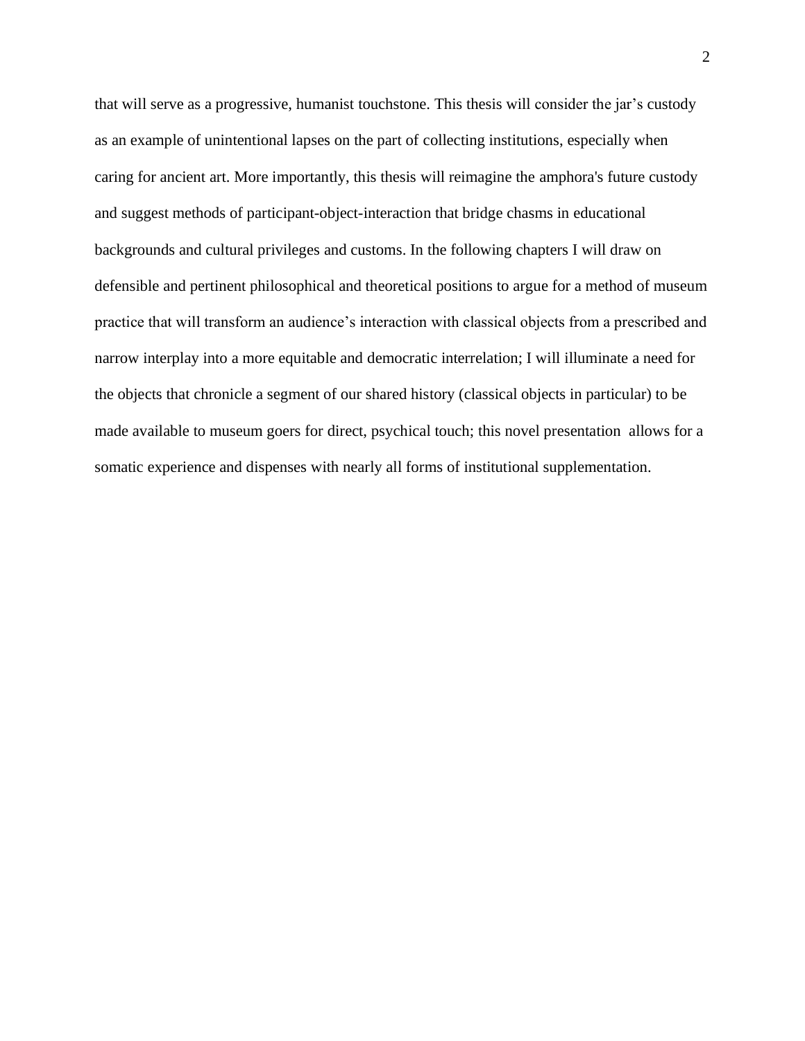that will serve as a progressive, humanist touchstone. This thesis will consider the jar's custody as an example of unintentional lapses on the part of collecting institutions, especially when caring for ancient art. More importantly, this thesis will reimagine the amphora's future custody and suggest methods of participant-object-interaction that bridge chasms in educational backgrounds and cultural privileges and customs. In the following chapters I will draw on defensible and pertinent philosophical and theoretical positions to argue for a method of museum practice that will transform an audience's interaction with classical objects from a prescribed and narrow interplay into a more equitable and democratic interrelation; I will illuminate a need for the objects that chronicle a segment of our shared history (classical objects in particular) to be made available to museum goers for direct, psychical touch; this novel presentation allows for a somatic experience and dispenses with nearly all forms of institutional supplementation.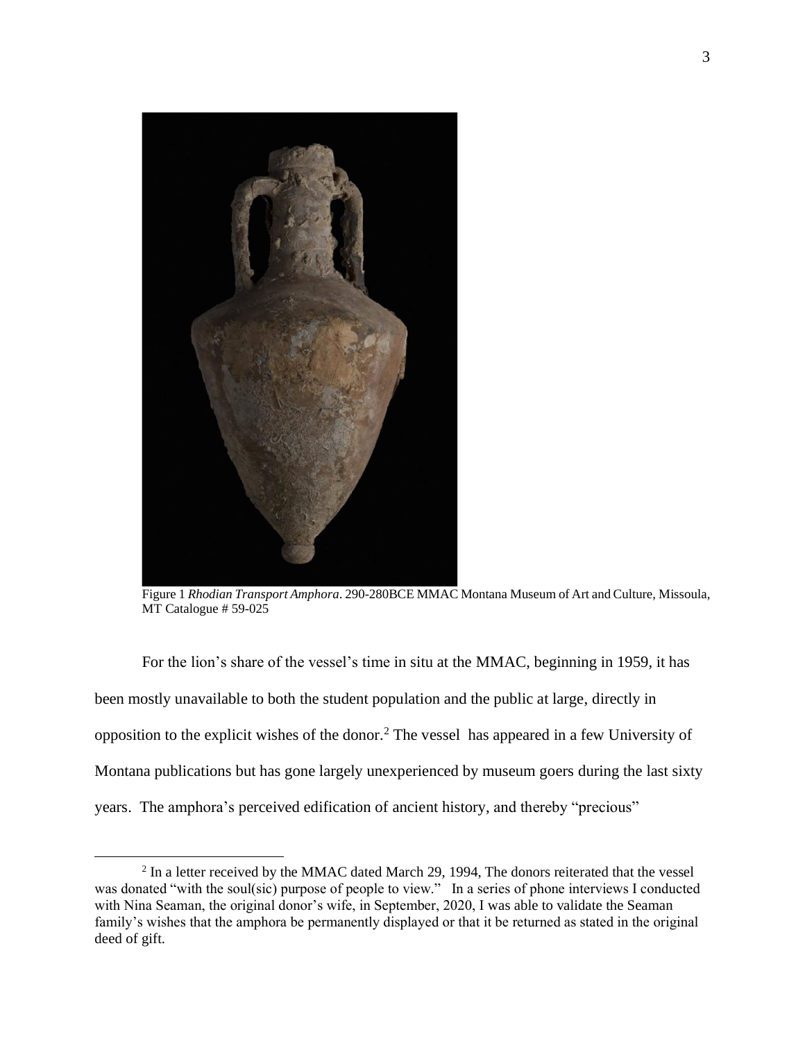

Figure 1 *Rhodian Transport Amphora*. 290-280BCE MMAC Montana Museum of Art and Culture, Missoula, MT Catalogue # 59-025

For the lion's share of the vessel's time in situ at the MMAC, beginning in 1959, it has been mostly unavailable to both the student population and the public at large, directly in opposition to the explicit wishes of the donor. <sup>2</sup> The vessel has appeared in a few University of Montana publications but has gone largely unexperienced by museum goers during the last sixty years. The amphora's perceived edification of ancient history, and thereby "precious"

 $2 \text{ In a letter received by the MMAC dated March } 29, 1994, \text{ The donors reiterated that the vessel }$ was donated "with the soul(sic) purpose of people to view." In a series of phone interviews I conducted with Nina Seaman, the original donor's wife, in September, 2020, I was able to validate the Seaman family's wishes that the amphora be permanently displayed or that it be returned as stated in the original deed of gift.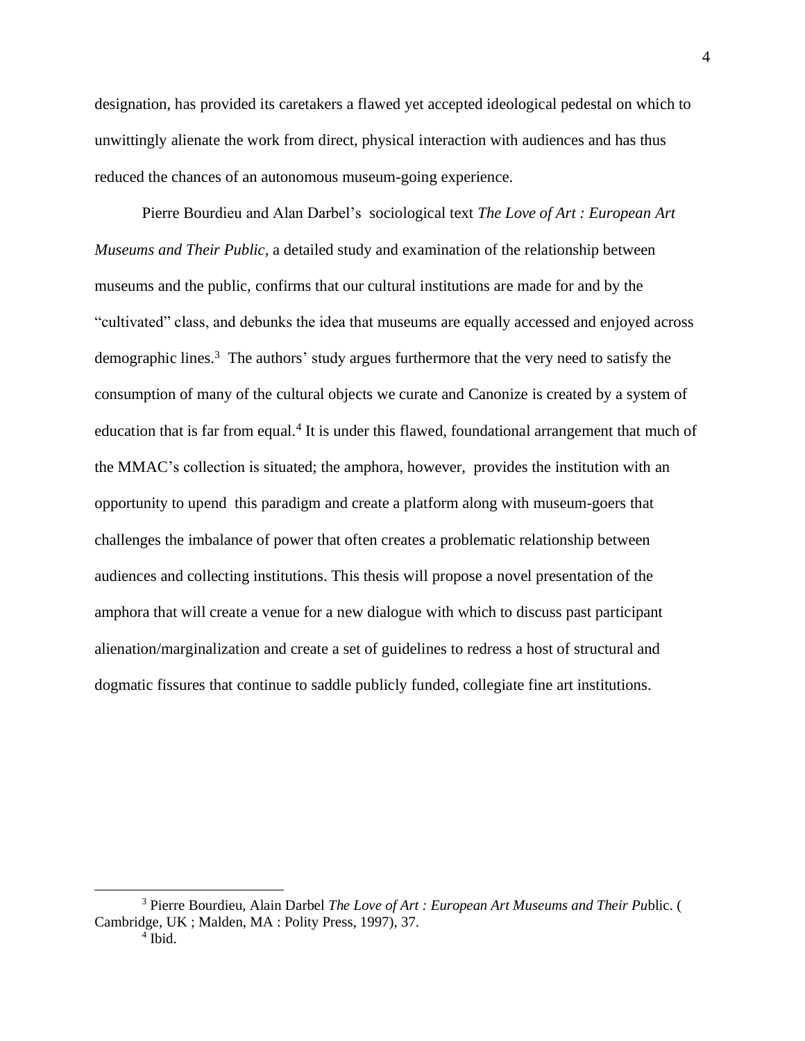designation, has provided its caretakers a flawed yet accepted ideological pedestal on which to unwittingly alienate the work from direct, physical interaction with audiences and has thus reduced the chances of an autonomous museum-going experience.

Pierre Bourdieu and Alan Darbel's sociological text *The Love of Art : European Art Museums and Their Public,* a detailed study and examination of the relationship between museums and the public, confirms that our cultural institutions are made for and by the "cultivated" class, and debunks the idea that museums are equally accessed and enjoyed across demographic lines.<sup>3</sup> The authors' study argues furthermore that the very need to satisfy the consumption of many of the cultural objects we curate and Canonize is created by a system of education that is far from equal.<sup>4</sup> It is under this flawed, foundational arrangement that much of the MMAC's collection is situated; the amphora, however, provides the institution with an opportunity to upend this paradigm and create a platform along with museum-goers that challenges the imbalance of power that often creates a problematic relationship between audiences and collecting institutions. This thesis will propose a novel presentation of the amphora that will create a venue for a new dialogue with which to discuss past participant alienation/marginalization and create a set of guidelines to redress a host of structural and dogmatic fissures that continue to saddle publicly funded, collegiate fine art institutions.

<sup>3</sup> Pierre Bourdieu, Alain Darbel *The Love of Art : European Art Museums and Their Pu*blic. ( Cambridge, UK ; Malden, MA : Polity Press, 1997), 37.

<sup>4</sup> Ibid.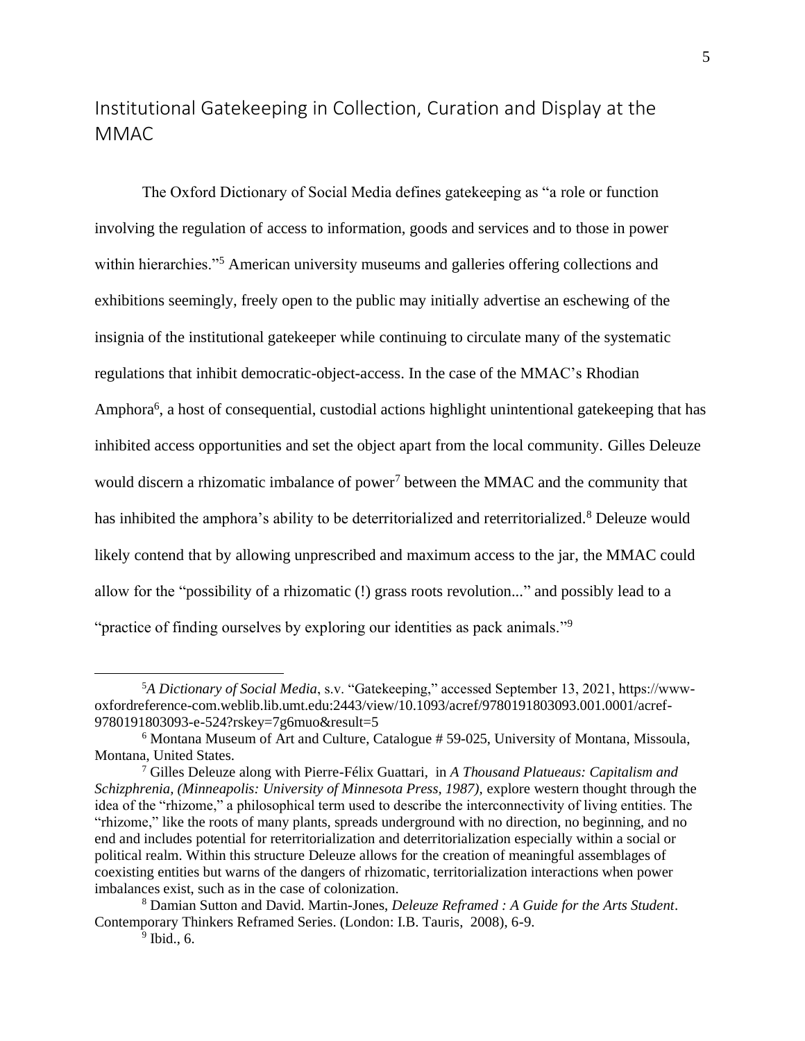## <span id="page-6-0"></span>Institutional Gatekeeping in Collection, Curation and Display at the MMAC

The Oxford Dictionary of Social Media defines gatekeeping as "a role or function involving the regulation of access to information, goods and services and to those in power within hierarchies."<sup>5</sup> American university museums and galleries offering collections and exhibitions seemingly, freely open to the public may initially advertise an eschewing of the insignia of the institutional gatekeeper while continuing to circulate many of the systematic regulations that inhibit democratic-object-access. In the case of the MMAC's Rhodian Amphora<sup>6</sup>, a host of consequential, custodial actions highlight unintentional gatekeeping that has inhibited access opportunities and set the object apart from the local community. Gilles Deleuze would discern a rhizomatic imbalance of power<sup>7</sup> between the MMAC and the community that has inhibited the amphora's ability to be deterritorialized and reterritorialized.<sup>8</sup> Deleuze would likely contend that by allowing unprescribed and maximum access to the jar, the MMAC could allow for the "possibility of a rhizomatic (!) grass roots revolution..." and possibly lead to a "practice of finding ourselves by exploring our identities as pack animals."<sup>9</sup>

<sup>5</sup>*A Dictionary of Social Media*, s.v. "Gatekeeping," accessed September 13, 2021, https://wwwoxfordreference-com.weblib.lib.umt.edu:2443/view/10.1093/acref/9780191803093.001.0001/acref-9780191803093-e-524?rskey=7g6muo&result=5

<sup>6</sup> Montana Museum of Art and Culture, Catalogue # 59-025, University of Montana, Missoula, Montana, United States.

<sup>7</sup> Gilles Deleuze along with Pierre-Félix Guattari, in *A Thousand Platueaus: Capitalism and*  Schizphrenia, (Minneapolis: University of Minnesota Press, 1987), explore western thought through the idea of the "rhizome," a philosophical term used to describe the interconnectivity of living entities. The "rhizome," like the roots of many plants, spreads underground with no direction, no beginning, and no end and includes potential for reterritorialization and deterritorialization especially within a social or political realm. Within this structure Deleuze allows for the creation of meaningful assemblages of coexisting entities but warns of the dangers of rhizomatic, territorialization interactions when power imbalances exist, such as in the case of colonization.

<sup>8</sup> Damian Sutton and David. Martin-Jones, *Deleuze Reframed : A Guide for the Arts Student*. Contemporary Thinkers Reframed Series. (London: I.B. Tauris, 2008), 6-9.

<sup>9</sup> Ibid., 6.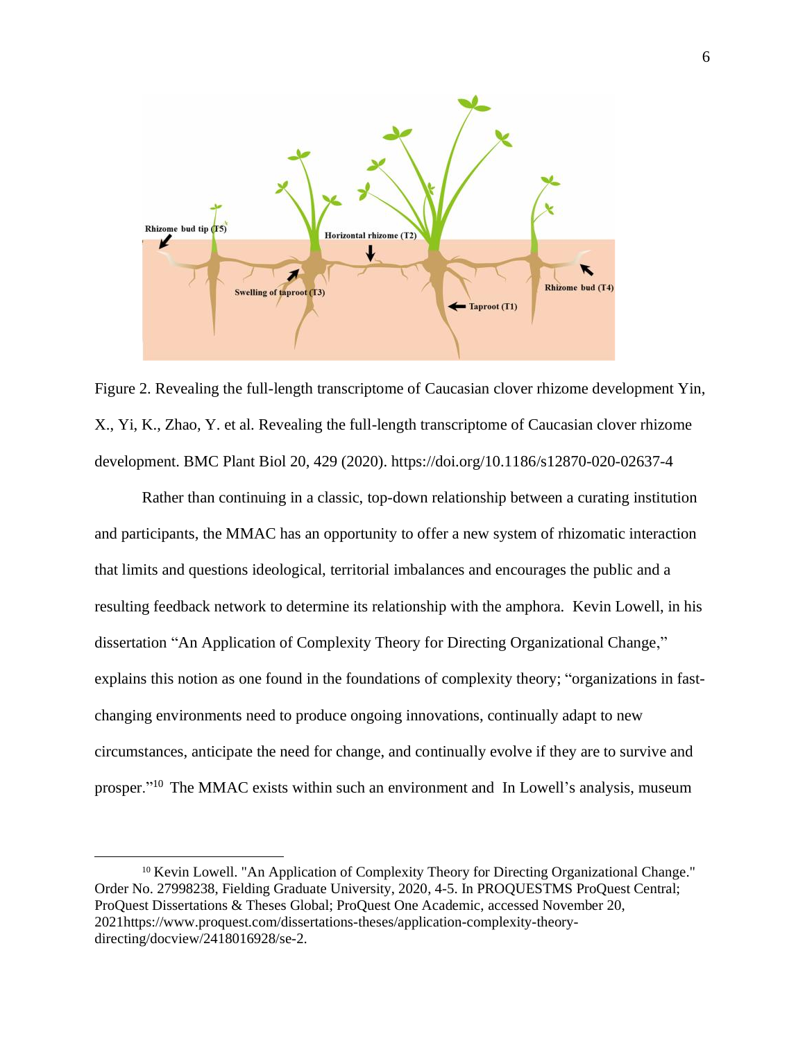

Figure 2. Revealing the full-length transcriptome of Caucasian clover rhizome development Yin, X., Yi, K., Zhao, Y. et al. Revealing the full-length transcriptome of Caucasian clover rhizome development. BMC Plant Biol 20, 429 (2020). https://doi.org/10.1186/s12870-020-02637-4

Rather than continuing in a classic, top-down relationship between a curating institution and participants, the MMAC has an opportunity to offer a new system of rhizomatic interaction that limits and questions ideological, territorial imbalances and encourages the public and a resulting feedback network to determine its relationship with the amphora. Kevin Lowell, in his dissertation "An Application of Complexity Theory for Directing Organizational Change," explains this notion as one found in the foundations of complexity theory; "organizations in fastchanging environments need to produce ongoing innovations, continually adapt to new circumstances, anticipate the need for change, and continually evolve if they are to survive and prosper."<sup>10</sup> The MMAC exists within such an environment and In Lowell's analysis, museum

<sup>&</sup>lt;sup>10</sup> Kevin Lowell. "An Application of Complexity Theory for Directing Organizational Change." Order No. 27998238, Fielding Graduate University, 2020, 4-5. In PROQUESTMS ProQuest Central; ProQuest Dissertations & Theses Global; ProQuest One Academic, accessed November 20, 2021https://www.proquest.com/dissertations-theses/application-complexity-theorydirecting/docview/2418016928/se-2.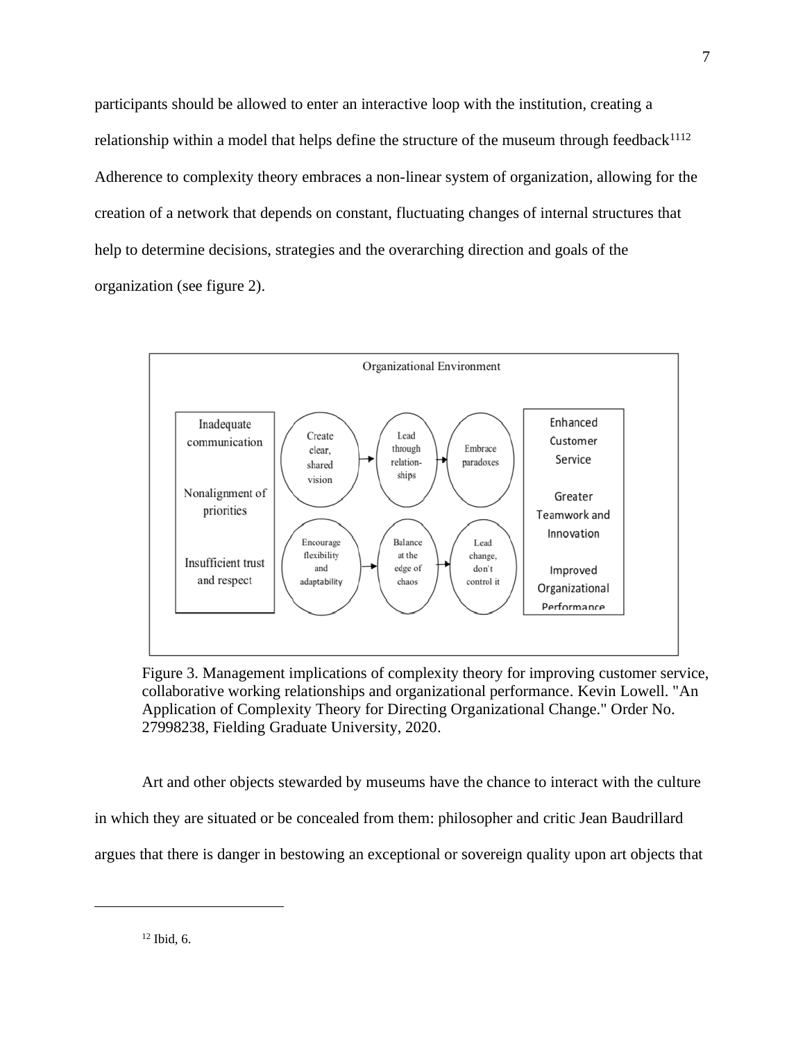participants should be allowed to enter an interactive loop with the institution, creating a relationship within a model that helps define the structure of the museum through feedback<sup>1112</sup> Adherence to complexity theory embraces a non-linear system of organization, allowing for the creation of a network that depends on constant, fluctuating changes of internal structures that help to determine decisions, strategies and the overarching direction and goals of the organization (see figure 2).



Figure 3. Management implications of complexity theory for improving customer service, collaborative working relationships and organizational performance. Kevin Lowell. "An Application of Complexity Theory for Directing Organizational Change." Order No. 27998238, Fielding Graduate University, 2020.

Art and other objects stewarded by museums have the chance to interact with the culture in which they are situated or be concealed from them: philosopher and critic Jean Baudrillard argues that there is danger in bestowing an exceptional or sovereign quality upon art objects that

 $12$  Ibid, 6.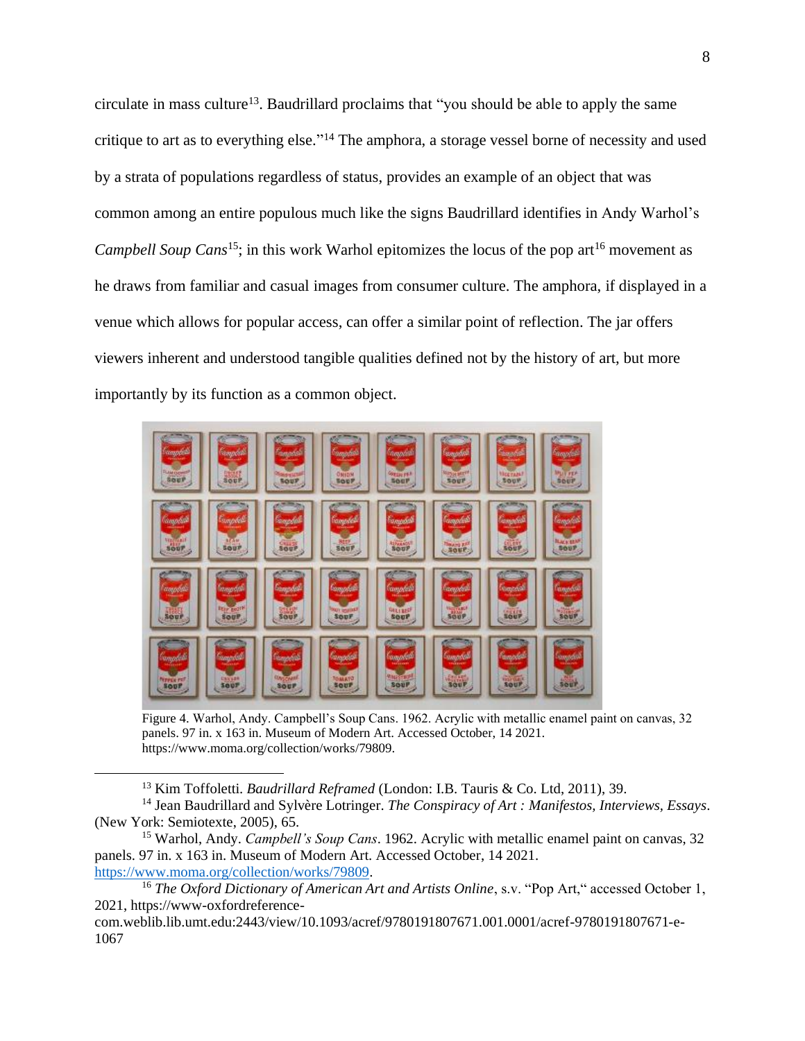circulate in mass culture<sup>13</sup>. Baudrillard proclaims that "you should be able to apply the same critique to art as to everything else."<sup>14</sup> The amphora, a storage vessel borne of necessity and used by a strata of populations regardless of status, provides an example of an object that was common among an entire populous much like the signs Baudrillard identifies in Andy Warhol's *Campbell Soup Cans*<sup>15</sup>; in this work Warhol epitomizes the locus of the pop art<sup>16</sup> movement as he draws from familiar and casual images from consumer culture. The amphora, if displayed in a venue which allows for popular access, can offer a similar point of reflection. The jar offers viewers inherent and understood tangible qualities defined not by the history of art, but more importantly by its function as a common object.



Figure 4. Warhol, Andy. Campbell's Soup Cans. 1962. Acrylic with metallic enamel paint on canvas, 32 panels. 97 in. x 163 in. Museum of Modern Art. Accessed October, 14 2021. https://www.moma.org/collection/works/79809.

<sup>13</sup> Kim Toffoletti. *Baudrillard Reframed* (London: I.B. Tauris & Co. Ltd, 2011), 39.

<sup>14</sup> Jean Baudrillard and Sylvère Lotringer. *The Conspiracy of Art : Manifestos, Interviews, Essays*. (New York: Semiotexte, 2005), 65.

<sup>15</sup> Warhol, Andy. *Campbell's Soup Cans*. 1962. Acrylic with metallic enamel paint on canvas, 32 panels. 97 in. x 163 in. Museum of Modern Art. Accessed October, 14 2021. [https://www.moma.org/collection/works/79809.](https://www.moma.org/collection/works/79809)

<sup>&</sup>lt;sup>16</sup> *The Oxford Dictionary of American Art and Artists Online*, s.v. "Pop Art," accessed October 1, 2021, https://www-oxfordreference-

com.weblib.lib.umt.edu:2443/view/10.1093/acref/9780191807671.001.0001/acref-9780191807671-e-1067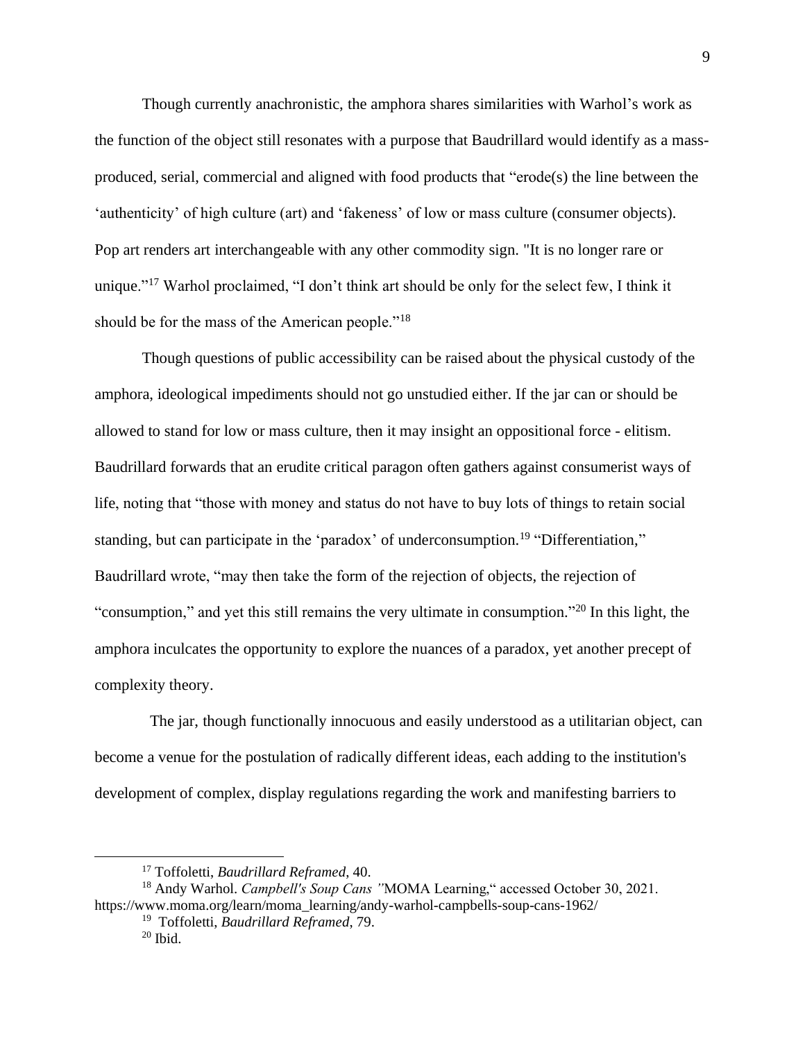Though currently anachronistic, the amphora shares similarities with Warhol's work as the function of the object still resonates with a purpose that Baudrillard would identify as a massproduced, serial, commercial and aligned with food products that "erode(s) the line between the 'authenticity' of high culture (art) and 'fakeness' of low or mass culture (consumer objects). Pop art renders art interchangeable with any other commodity sign. "It is no longer rare or unique."<sup>17</sup> Warhol proclaimed, "I don't think art should be only for the select few, I think it should be for the mass of the American people."<sup>18</sup>

Though questions of public accessibility can be raised about the physical custody of the amphora, ideological impediments should not go unstudied either. If the jar can or should be allowed to stand for low or mass culture, then it may insight an oppositional force - elitism. Baudrillard forwards that an erudite critical paragon often gathers against consumerist ways of life, noting that "those with money and status do not have to buy lots of things to retain social standing, but can participate in the 'paradox' of underconsumption.<sup>19</sup> "Differentiation," Baudrillard wrote, "may then take the form of the rejection of objects, the rejection of "consumption," and yet this still remains the very ultimate in consumption."<sup>20</sup> In this light, the amphora inculcates the opportunity to explore the nuances of a paradox, yet another precept of complexity theory.

The jar, though functionally innocuous and easily understood as a utilitarian object, can become a venue for the postulation of radically different ideas, each adding to the institution's development of complex, display regulations regarding the work and manifesting barriers to

<sup>17</sup> Toffoletti, *Baudrillard Reframed*, 40.

<sup>18</sup> Andy Warhol. *Campbell's Soup Cans "*MOMA Learning," accessed October 30, 2021. https://www.moma.org/learn/moma\_learning/andy-warhol-campbells-soup-cans-1962/

<sup>19</sup> Toffoletti, *Baudrillard Reframed*, 79.

 $20$  Ibid.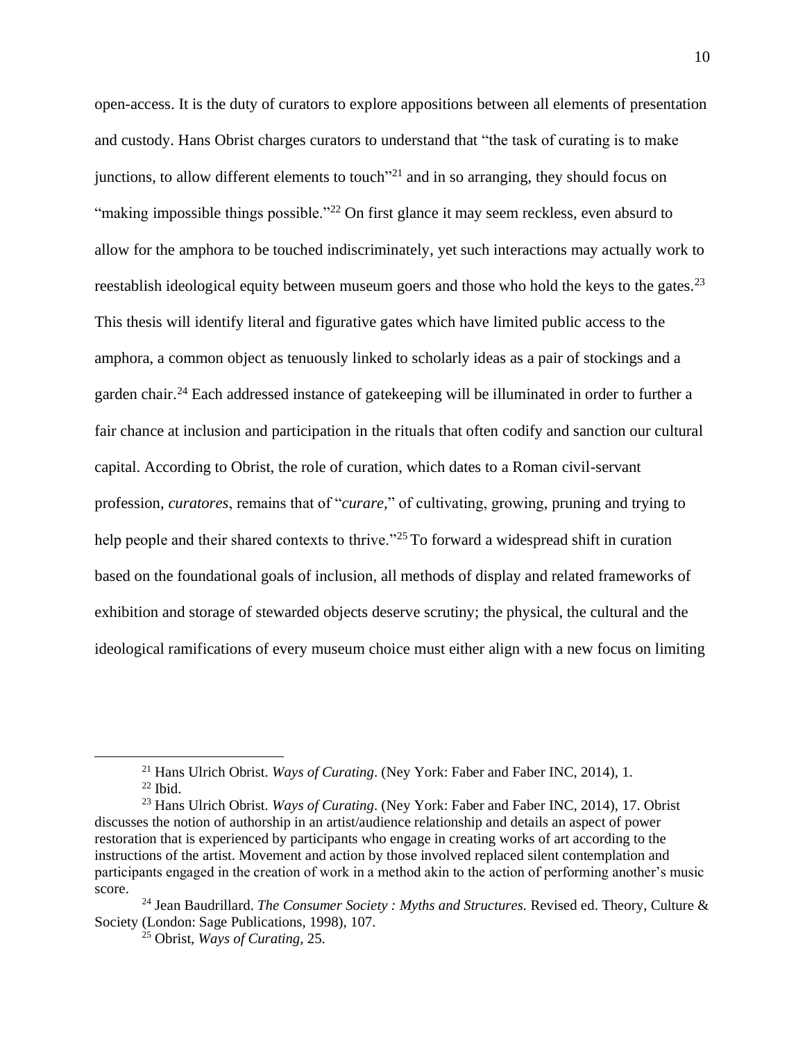open-access. It is the duty of curators to explore appositions between all elements of presentation and custody. Hans Obrist charges curators to understand that "the task of curating is to make junctions, to allow different elements to touch<sup>121</sup> and in so arranging, they should focus on "making impossible things possible."<sup>22</sup> On first glance it may seem reckless, even absurd to allow for the amphora to be touched indiscriminately, yet such interactions may actually work to reestablish ideological equity between museum goers and those who hold the keys to the gates.<sup>23</sup> This thesis will identify literal and figurative gates which have limited public access to the amphora, a common object as tenuously linked to scholarly ideas as a pair of stockings and a garden chair. <sup>24</sup> Each addressed instance of gatekeeping will be illuminated in order to further a fair chance at inclusion and participation in the rituals that often codify and sanction our cultural capital. According to Obrist, the role of curation, which dates to a Roman civil-servant profession, *curatores*, remains that of "*curare,*" of cultivating, growing, pruning and trying to help people and their shared contexts to thrive."<sup>25</sup> To forward a widespread shift in curation based on the foundational goals of inclusion, all methods of display and related frameworks of exhibition and storage of stewarded objects deserve scrutiny; the physical, the cultural and the ideological ramifications of every museum choice must either align with a new focus on limiting

<sup>21</sup> Hans Ulrich Obrist. *Ways of Curating*. (Ney York: Faber and Faber INC, 2014), 1.  $22$  Ibid.

<sup>23</sup> Hans Ulrich Obrist. *Ways of Curating*. (Ney York: Faber and Faber INC, 2014), 17. Obrist discusses the notion of authorship in an artist/audience relationship and details an aspect of power restoration that is experienced by participants who engage in creating works of art according to the instructions of the artist. Movement and action by those involved replaced silent contemplation and participants engaged in the creation of work in a method akin to the action of performing another's music score.

<sup>24</sup> Jean Baudrillard. *The Consumer Society : Myths and Structures.* Revised ed. Theory, Culture & Society (London: Sage Publications, 1998), 107.

<sup>25</sup> Obrist, *Ways of Curating*, 25.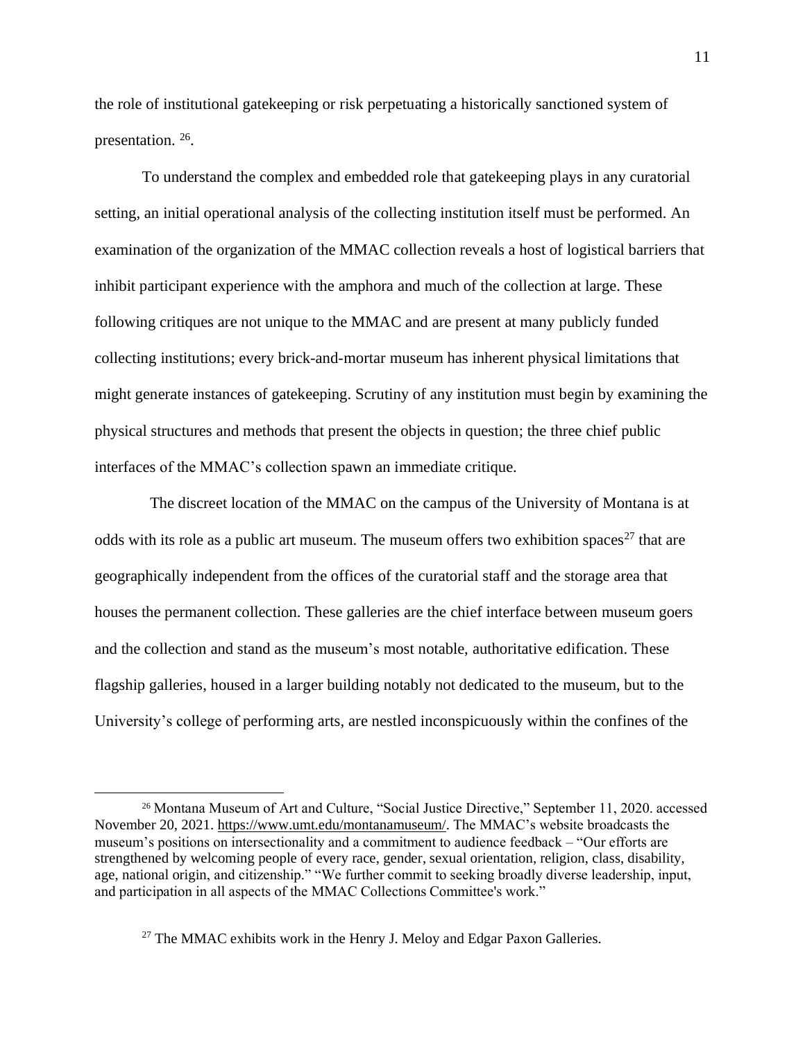the role of institutional gatekeeping or risk perpetuating a historically sanctioned system of presentation. 26.

To understand the complex and embedded role that gatekeeping plays in any curatorial setting, an initial operational analysis of the collecting institution itself must be performed. An examination of the organization of the MMAC collection reveals a host of logistical barriers that inhibit participant experience with the amphora and much of the collection at large. These following critiques are not unique to the MMAC and are present at many publicly funded collecting institutions; every brick-and-mortar museum has inherent physical limitations that might generate instances of gatekeeping. Scrutiny of any institution must begin by examining the physical structures and methods that present the objects in question; the three chief public interfaces of the MMAC's collection spawn an immediate critique.

The discreet location of the MMAC on the campus of the University of Montana is at odds with its role as a public art museum. The museum offers two exhibition spaces<sup>27</sup> that are geographically independent from the offices of the curatorial staff and the storage area that houses the permanent collection. These galleries are the chief interface between museum goers and the collection and stand as the museum's most notable, authoritative edification. These flagship galleries, housed in a larger building notably not dedicated to the museum, but to the University's college of performing arts, are nestled inconspicuously within the confines of the

<sup>&</sup>lt;sup>26</sup> Montana Museum of Art and Culture, "Social Justice Directive," September 11, 2020. accessed November 20, 2021. [https://www.umt.edu/montanamuseum/.](https://www.umt.edu/montanamuseum/) The MMAC's website broadcasts the museum's positions on intersectionality and a commitment to audience feedback – "Our efforts are strengthened by welcoming people of every race, gender, sexual orientation, religion, class, disability, age, national origin, and citizenship." "We further commit to seeking broadly diverse leadership, input, and participation in all aspects of the MMAC Collections Committee's work."

<sup>&</sup>lt;sup>27</sup> The MMAC exhibits work in the Henry J. Meloy and Edgar Paxon Galleries.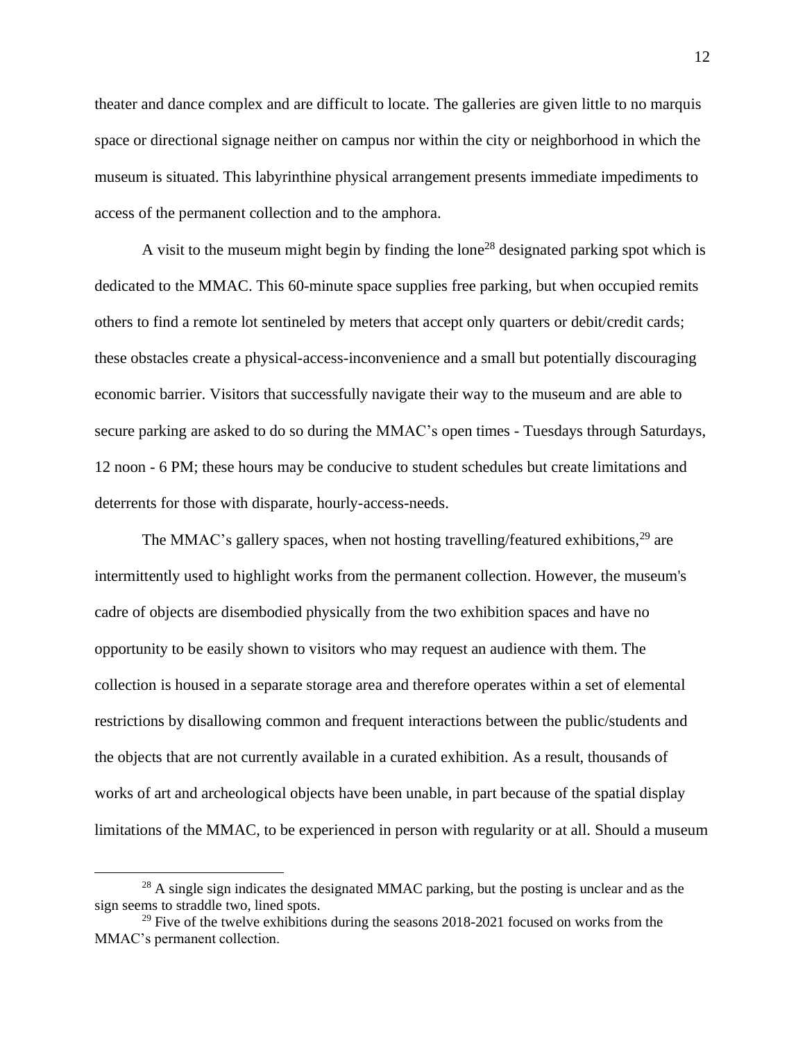theater and dance complex and are difficult to locate. The galleries are given little to no marquis space or directional signage neither on campus nor within the city or neighborhood in which the museum is situated. This labyrinthine physical arrangement presents immediate impediments to access of the permanent collection and to the amphora.

A visit to the museum might begin by finding the lone<sup>28</sup> designated parking spot which is dedicated to the MMAC. This 60-minute space supplies free parking, but when occupied remits others to find a remote lot sentineled by meters that accept only quarters or debit/credit cards; these obstacles create a physical-access-inconvenience and a small but potentially discouraging economic barrier. Visitors that successfully navigate their way to the museum and are able to secure parking are asked to do so during the MMAC's open times - Tuesdays through Saturdays, 12 noon - 6 PM; these hours may be conducive to student schedules but create limitations and deterrents for those with disparate, hourly-access-needs.

The MMAC's gallery spaces, when not hosting travelling/featured exhibitions,<sup>29</sup> are intermittently used to highlight works from the permanent collection. However, the museum's cadre of objects are disembodied physically from the two exhibition spaces and have no opportunity to be easily shown to visitors who may request an audience with them. The collection is housed in a separate storage area and therefore operates within a set of elemental restrictions by disallowing common and frequent interactions between the public/students and the objects that are not currently available in a curated exhibition. As a result, thousands of works of art and archeological objects have been unable, in part because of the spatial display limitations of the MMAC, to be experienced in person with regularity or at all. Should a museum

<sup>&</sup>lt;sup>28</sup> A single sign indicates the designated MMAC parking, but the posting is unclear and as the sign seems to straddle two, lined spots.

<sup>&</sup>lt;sup>29</sup> Five of the twelve exhibitions during the seasons  $2018$ - $2021$  focused on works from the MMAC's permanent collection.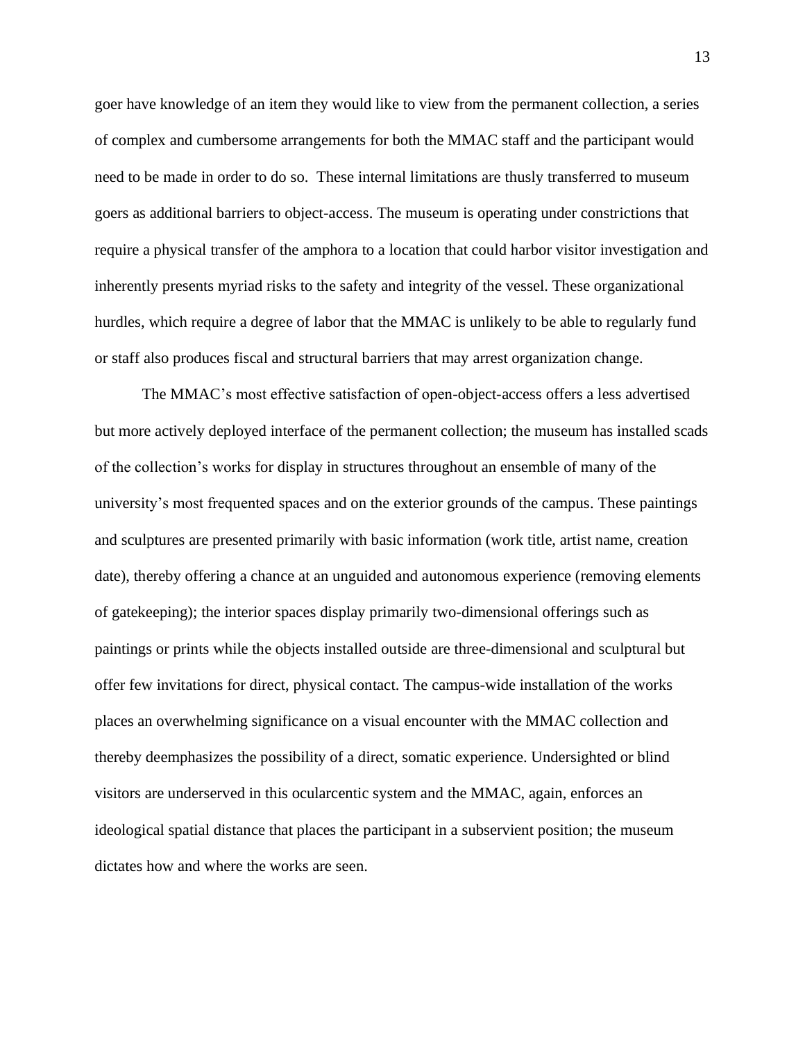goer have knowledge of an item they would like to view from the permanent collection, a series of complex and cumbersome arrangements for both the MMAC staff and the participant would need to be made in order to do so. These internal limitations are thusly transferred to museum goers as additional barriers to object-access. The museum is operating under constrictions that require a physical transfer of the amphora to a location that could harbor visitor investigation and inherently presents myriad risks to the safety and integrity of the vessel. These organizational hurdles, which require a degree of labor that the MMAC is unlikely to be able to regularly fund or staff also produces fiscal and structural barriers that may arrest organization change.

The MMAC's most effective satisfaction of open-object-access offers a less advertised but more actively deployed interface of the permanent collection; the museum has installed scads of the collection's works for display in structures throughout an ensemble of many of the university's most frequented spaces and on the exterior grounds of the campus. These paintings and sculptures are presented primarily with basic information (work title, artist name, creation date), thereby offering a chance at an unguided and autonomous experience (removing elements of gatekeeping); the interior spaces display primarily two-dimensional offerings such as paintings or prints while the objects installed outside are three-dimensional and sculptural but offer few invitations for direct, physical contact. The campus-wide installation of the works places an overwhelming significance on a visual encounter with the MMAC collection and thereby deemphasizes the possibility of a direct, somatic experience. Undersighted or blind visitors are underserved in this ocularcentic system and the MMAC, again, enforces an ideological spatial distance that places the participant in a subservient position; the museum dictates how and where the works are seen.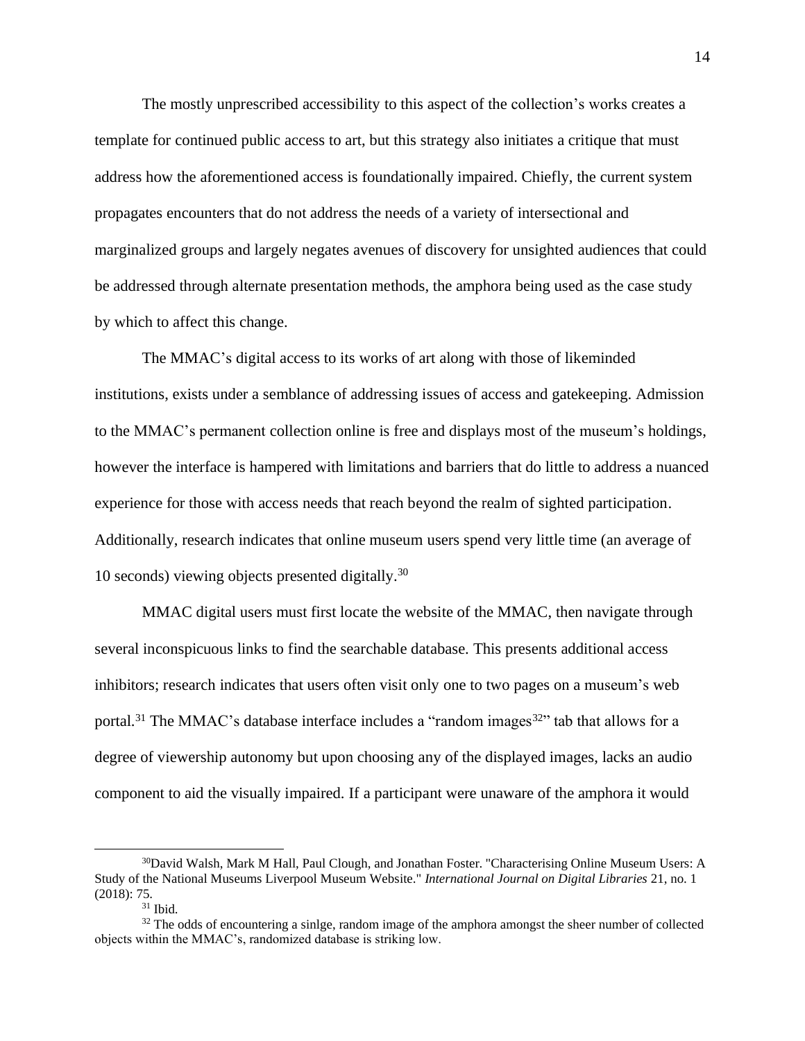The mostly unprescribed accessibility to this aspect of the collection's works creates a template for continued public access to art, but this strategy also initiates a critique that must address how the aforementioned access is foundationally impaired. Chiefly, the current system propagates encounters that do not address the needs of a variety of intersectional and marginalized groups and largely negates avenues of discovery for unsighted audiences that could be addressed through alternate presentation methods, the amphora being used as the case study by which to affect this change.

The MMAC's digital access to its works of art along with those of likeminded institutions, exists under a semblance of addressing issues of access and gatekeeping. Admission to the MMAC's permanent collection online is free and displays most of the museum's holdings, however the interface is hampered with limitations and barriers that do little to address a nuanced experience for those with access needs that reach beyond the realm of sighted participation. Additionally, research indicates that online museum users spend very little time (an average of 10 seconds) viewing objects presented digitally. 30

MMAC digital users must first locate the website of the MMAC, then navigate through several inconspicuous links to find the searchable database. This presents additional access inhibitors; research indicates that users often visit only one to two pages on a museum's web portal.<sup>31</sup> The MMAC's database interface includes a "random images<sup>32</sup>" tab that allows for a degree of viewership autonomy but upon choosing any of the displayed images, lacks an audio component to aid the visually impaired. If a participant were unaware of the amphora it would

<sup>30</sup>David Walsh, Mark M Hall, Paul Clough, and Jonathan Foster. "Characterising Online Museum Users: A Study of the National Museums Liverpool Museum Website." *International Journal on Digital Libraries* 21, no. 1 (2018): 75.

 $^{31}$  Ibid.

<sup>&</sup>lt;sup>32</sup> The odds of encountering a sinlge, random image of the amphora amongst the sheer number of collected objects within the MMAC's, randomized database is striking low.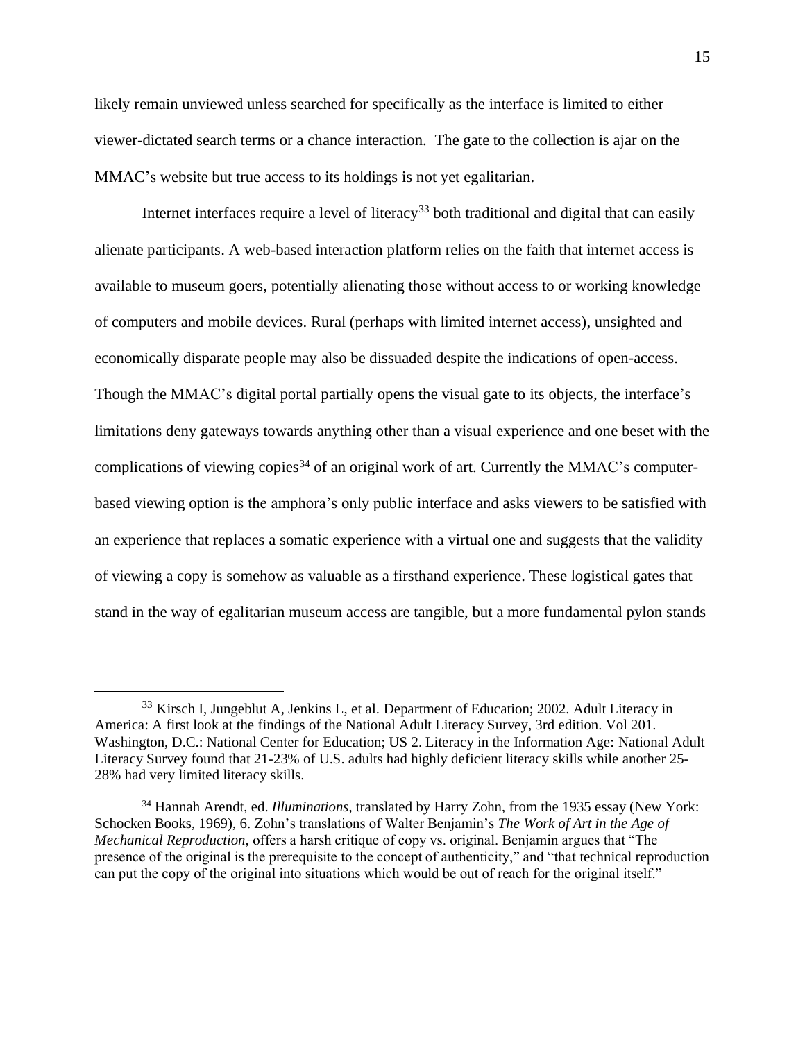likely remain unviewed unless searched for specifically as the interface is limited to either viewer-dictated search terms or a chance interaction. The gate to the collection is ajar on the MMAC's website but true access to its holdings is not yet egalitarian.

Internet interfaces require a level of literacy<sup>33</sup> both traditional and digital that can easily alienate participants. A web-based interaction platform relies on the faith that internet access is available to museum goers, potentially alienating those without access to or working knowledge of computers and mobile devices. Rural (perhaps with limited internet access), unsighted and economically disparate people may also be dissuaded despite the indications of open-access. Though the MMAC's digital portal partially opens the visual gate to its objects, the interface's limitations deny gateways towards anything other than a visual experience and one beset with the complications of viewing copies<sup>34</sup> of an original work of art. Currently the MMAC's computerbased viewing option is the amphora's only public interface and asks viewers to be satisfied with an experience that replaces a somatic experience with a virtual one and suggests that the validity of viewing a copy is somehow as valuable as a firsthand experience. These logistical gates that stand in the way of egalitarian museum access are tangible, but a more fundamental pylon stands

<sup>&</sup>lt;sup>33</sup> Kirsch I, Jungeblut A, Jenkins L, et al. Department of Education; 2002. Adult Literacy in America: A first look at the findings of the National Adult Literacy Survey, 3rd edition. Vol 201. Washington, D.C.: National Center for Education; US 2. Literacy in the Information Age: National Adult Literacy Survey found that 21-23% of U.S. adults had highly deficient literacy skills while another 25- 28% had very limited literacy skills.

<sup>34</sup> Hannah Arendt, ed. *Illuminations*, translated by Harry Zohn, from the 1935 essay (New York: Schocken Books, 1969), 6. Zohn's translations of Walter Benjamin's *The Work of Art in the Age of Mechanical Reproduction,* offers a harsh critique of copy vs. original. Benjamin argues that "The presence of the original is the prerequisite to the concept of authenticity," and "that technical reproduction can put the copy of the original into situations which would be out of reach for the original itself."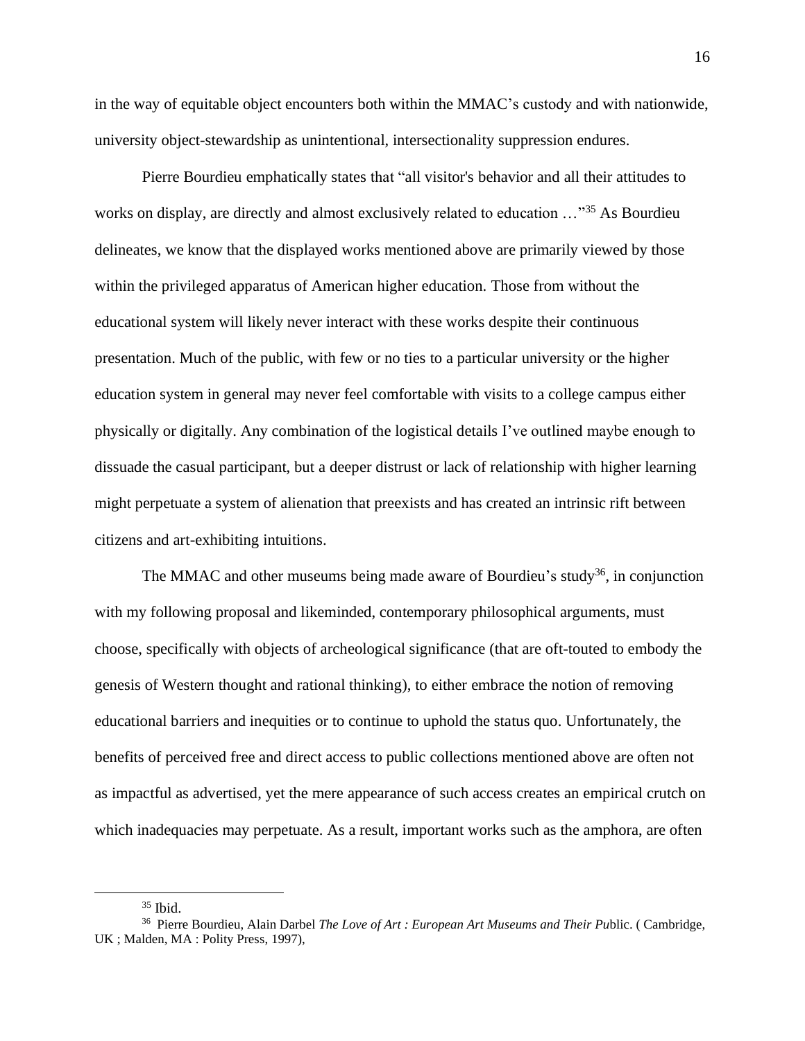in the way of equitable object encounters both within the MMAC's custody and with nationwide, university object-stewardship as unintentional, intersectionality suppression endures.

Pierre Bourdieu emphatically states that "all visitor's behavior and all their attitudes to works on display, are directly and almost exclusively related to education ..."<sup>35</sup> As Bourdieu delineates, we know that the displayed works mentioned above are primarily viewed by those within the privileged apparatus of American higher education. Those from without the educational system will likely never interact with these works despite their continuous presentation. Much of the public, with few or no ties to a particular university or the higher education system in general may never feel comfortable with visits to a college campus either physically or digitally. Any combination of the logistical details I've outlined maybe enough to dissuade the casual participant, but a deeper distrust or lack of relationship with higher learning might perpetuate a system of alienation that preexists and has created an intrinsic rift between citizens and art-exhibiting intuitions.

The MMAC and other museums being made aware of Bourdieu's study<sup>36</sup>, in conjunction with my following proposal and likeminded, contemporary philosophical arguments, must choose, specifically with objects of archeological significance (that are oft-touted to embody the genesis of Western thought and rational thinking), to either embrace the notion of removing educational barriers and inequities or to continue to uphold the status quo. Unfortunately, the benefits of perceived free and direct access to public collections mentioned above are often not as impactful as advertised, yet the mere appearance of such access creates an empirical crutch on which inadequacies may perpetuate. As a result, important works such as the amphora, are often

 $35$  Ibid.

<sup>36</sup> Pierre Bourdieu, Alain Darbel *The Love of Art : European Art Museums and Their Pu*blic. ( Cambridge, UK ; Malden, MA : Polity Press, 1997),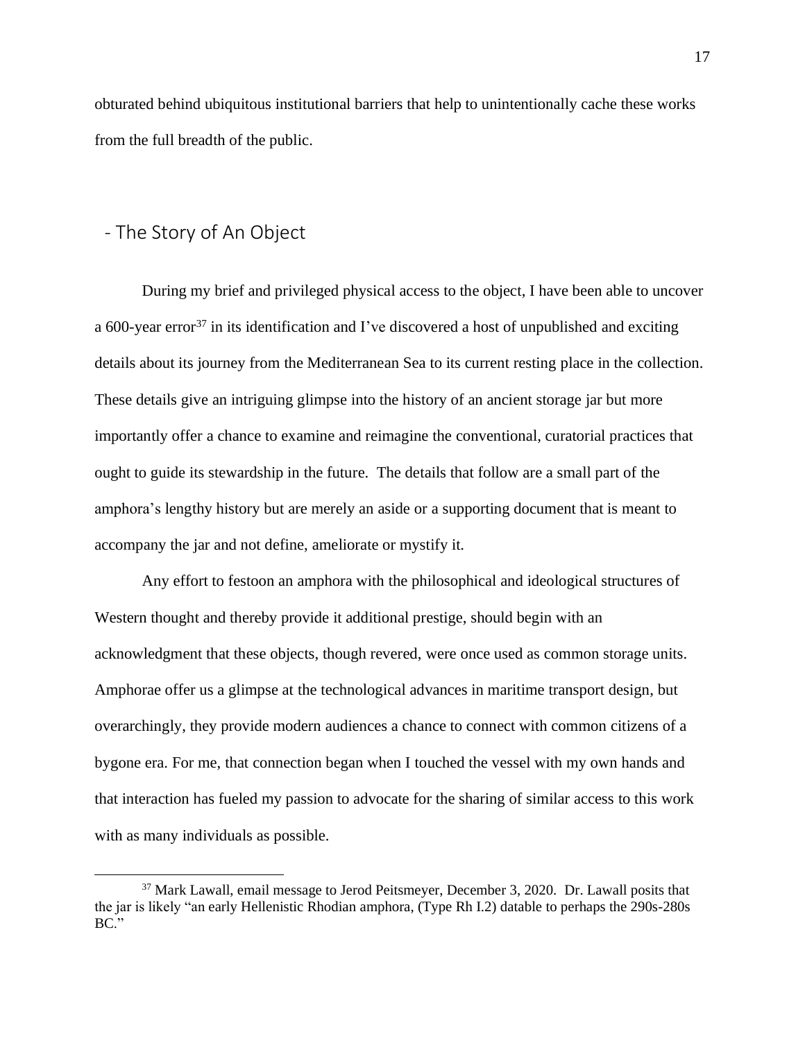obturated behind ubiquitous institutional barriers that help to unintentionally cache these works from the full breadth of the public.

### <span id="page-18-0"></span>- The Story of An Object

During my brief and privileged physical access to the object, I have been able to uncover a 600-year error<sup>37</sup> in its identification and I've discovered a host of unpublished and exciting details about its journey from the Mediterranean Sea to its current resting place in the collection. These details give an intriguing glimpse into the history of an ancient storage jar but more importantly offer a chance to examine and reimagine the conventional, curatorial practices that ought to guide its stewardship in the future. The details that follow are a small part of the amphora's lengthy history but are merely an aside or a supporting document that is meant to accompany the jar and not define, ameliorate or mystify it.

Any effort to festoon an amphora with the philosophical and ideological structures of Western thought and thereby provide it additional prestige, should begin with an acknowledgment that these objects, though revered, were once used as common storage units. Amphorae offer us a glimpse at the technological advances in maritime transport design, but overarchingly, they provide modern audiences a chance to connect with common citizens of a bygone era. For me, that connection began when I touched the vessel with my own hands and that interaction has fueled my passion to advocate for the sharing of similar access to this work with as many individuals as possible.

<sup>&</sup>lt;sup>37</sup> Mark Lawall, email message to Jerod Peitsmeyer, December 3, 2020. Dr. Lawall posits that the jar is likely "an early Hellenistic Rhodian amphora, (Type Rh I.2) datable to perhaps the 290s-280s BC."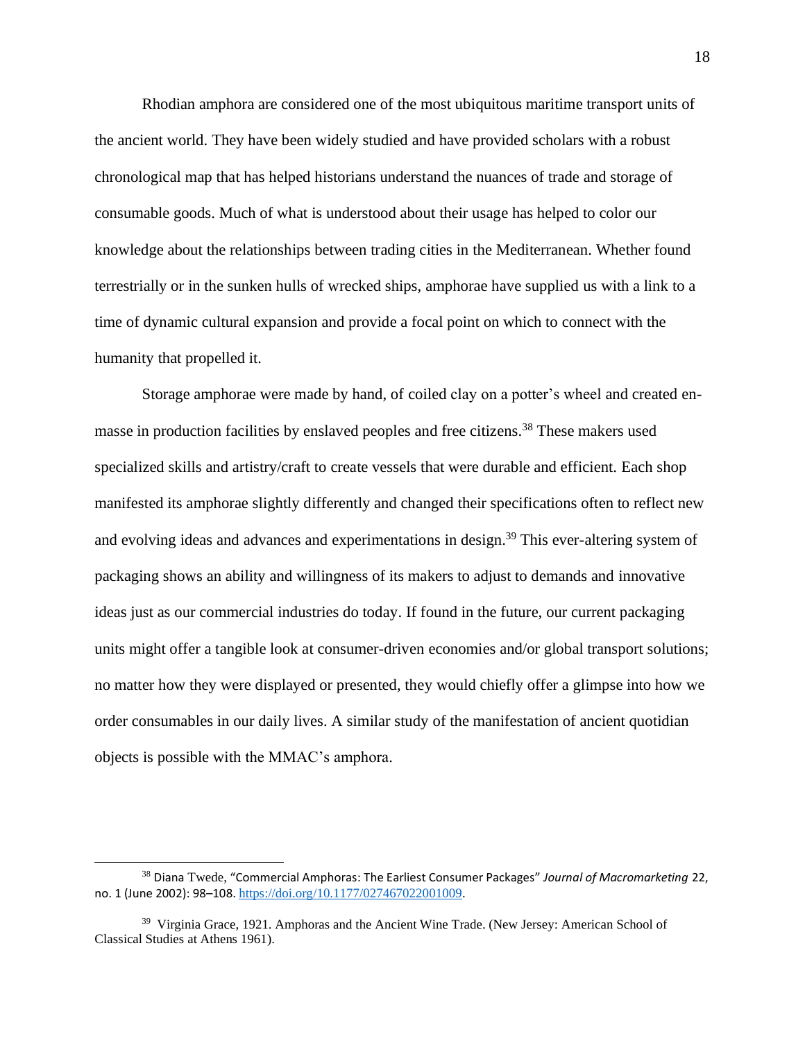Rhodian amphora are considered one of the most ubiquitous maritime transport units of the ancient world. They have been widely studied and have provided scholars with a robust chronological map that has helped historians understand the nuances of trade and storage of consumable goods. Much of what is understood about their usage has helped to color our knowledge about the relationships between trading cities in the Mediterranean. Whether found terrestrially or in the sunken hulls of wrecked ships, amphorae have supplied us with a link to a time of dynamic cultural expansion and provide a focal point on which to connect with the humanity that propelled it.

Storage amphorae were made by hand, of coiled clay on a potter's wheel and created enmasse in production facilities by enslaved peoples and free citizens.<sup>38</sup> These makers used specialized skills and artistry/craft to create vessels that were durable and efficient. Each shop manifested its amphorae slightly differently and changed their specifications often to reflect new and evolving ideas and advances and experimentations in design. <sup>39</sup> This ever-altering system of packaging shows an ability and willingness of its makers to adjust to demands and innovative ideas just as our commercial industries do today. If found in the future, our current packaging units might offer a tangible look at consumer-driven economies and/or global transport solutions; no matter how they were displayed or presented, they would chiefly offer a glimpse into how we order consumables in our daily lives. A similar study of the manifestation of ancient quotidian objects is possible with the MMAC's amphora.

<sup>38</sup> Diana Twede, "Commercial Amphoras: The Earliest Consumer Packages" *Journal of Macromarketing* 22, no. 1 (June 2002): 98–108. <https://doi.org/10.1177/027467022001009>.

<sup>&</sup>lt;sup>39</sup> Virginia Grace, 1921. Amphoras and the Ancient Wine Trade. (New Jersey: American School of Classical Studies at Athens 1961).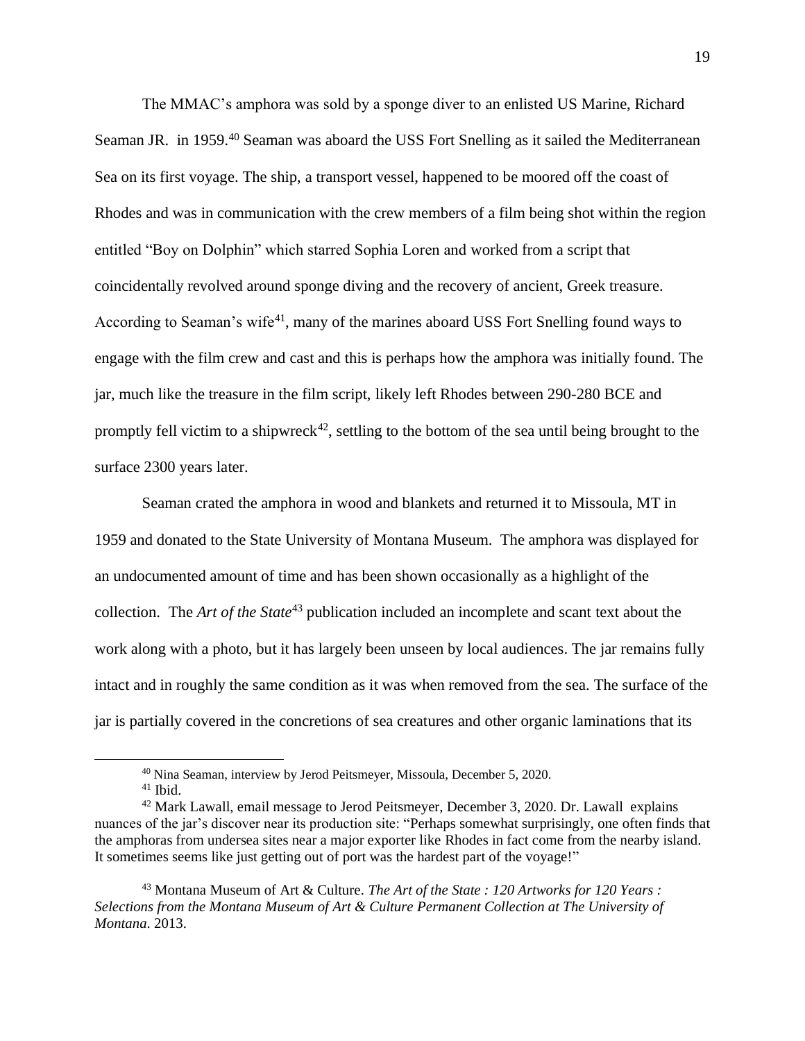The MMAC's amphora was sold by a sponge diver to an enlisted US Marine, Richard Seaman JR. in 1959.<sup>40</sup> Seaman was aboard the USS Fort Snelling as it sailed the Mediterranean Sea on its first voyage. The ship, a transport vessel, happened to be moored off the coast of Rhodes and was in communication with the crew members of a film being shot within the region entitled "Boy on Dolphin" which starred Sophia Loren and worked from a script that coincidentally revolved around sponge diving and the recovery of ancient, Greek treasure. According to Seaman's wife<sup>41</sup>, many of the marines aboard USS Fort Snelling found ways to engage with the film crew and cast and this is perhaps how the amphora was initially found. The jar, much like the treasure in the film script, likely left Rhodes between 290-280 BCE and promptly fell victim to a shipwreck<sup>42</sup>, settling to the bottom of the sea until being brought to the surface 2300 years later.

Seaman crated the amphora in wood and blankets and returned it to Missoula, MT in 1959 and donated to the State University of Montana Museum. The amphora was displayed for an undocumented amount of time and has been shown occasionally as a highlight of the collection. The *Art of the State*<sup>43</sup> publication included an incomplete and scant text about the work along with a photo, but it has largely been unseen by local audiences. The jar remains fully intact and in roughly the same condition as it was when removed from the sea. The surface of the jar is partially covered in the concretions of sea creatures and other organic laminations that its

<sup>43</sup> Montana Museum of Art & Culture. *The Art of the State : 120 Artworks for 120 Years : Selections from the Montana Museum of Art & Culture Permanent Collection at The University of Montana*. 2013.

<sup>&</sup>lt;sup>40</sup> Nina Seaman, interview by Jerod Peitsmeyer, Missoula, December 5, 2020.

 $41$  Ibid.

<sup>42</sup> Mark Lawall, email message to Jerod Peitsmeyer, December 3, 2020. Dr. Lawall explains nuances of the jar's discover near its production site: "Perhaps somewhat surprisingly, one often finds that the amphoras from undersea sites near a major exporter like Rhodes in fact come from the nearby island. It sometimes seems like just getting out of port was the hardest part of the voyage!"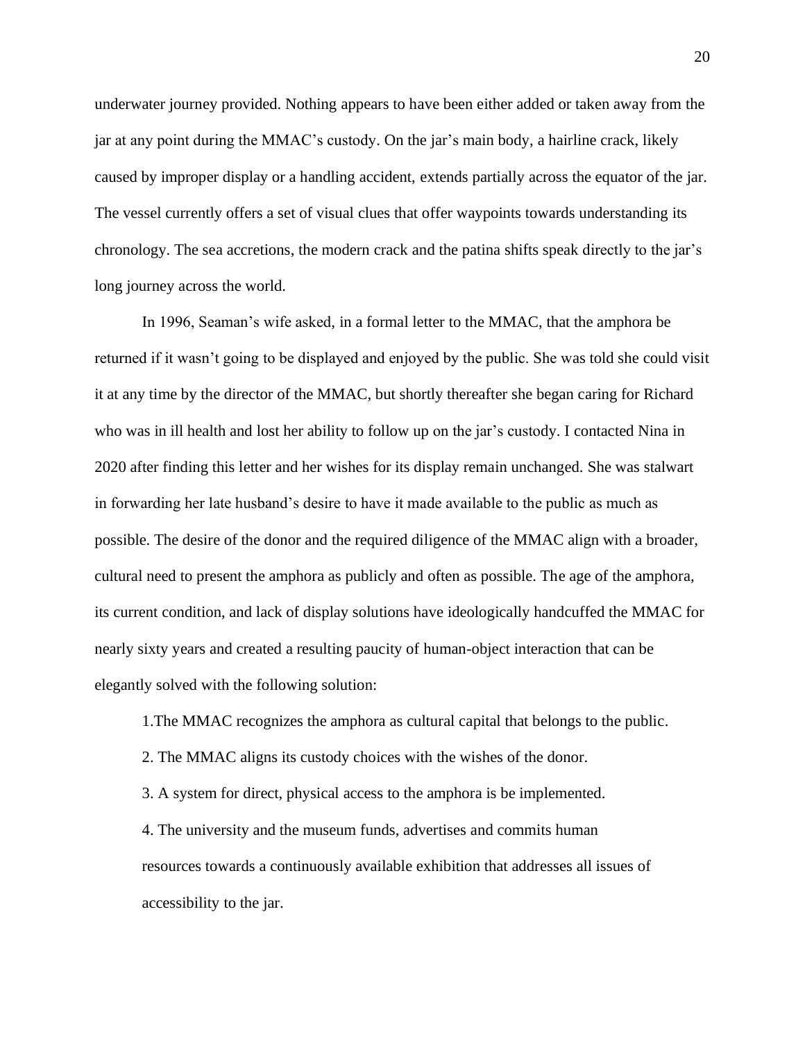underwater journey provided. Nothing appears to have been either added or taken away from the jar at any point during the MMAC's custody. On the jar's main body, a hairline crack, likely caused by improper display or a handling accident, extends partially across the equator of the jar. The vessel currently offers a set of visual clues that offer waypoints towards understanding its chronology. The sea accretions, the modern crack and the patina shifts speak directly to the jar's long journey across the world.

In 1996, Seaman's wife asked, in a formal letter to the MMAC, that the amphora be returned if it wasn't going to be displayed and enjoyed by the public. She was told she could visit it at any time by the director of the MMAC, but shortly thereafter she began caring for Richard who was in ill health and lost her ability to follow up on the jar's custody. I contacted Nina in 2020 after finding this letter and her wishes for its display remain unchanged. She was stalwart in forwarding her late husband's desire to have it made available to the public as much as possible. The desire of the donor and the required diligence of the MMAC align with a broader, cultural need to present the amphora as publicly and often as possible. The age of the amphora, its current condition, and lack of display solutions have ideologically handcuffed the MMAC for nearly sixty years and created a resulting paucity of human-object interaction that can be elegantly solved with the following solution:

1.The MMAC recognizes the amphora as cultural capital that belongs to the public.

2. The MMAC aligns its custody choices with the wishes of the donor.

3. A system for direct, physical access to the amphora is be implemented.

4. The university and the museum funds, advertises and commits human resources towards a continuously available exhibition that addresses all issues of accessibility to the jar.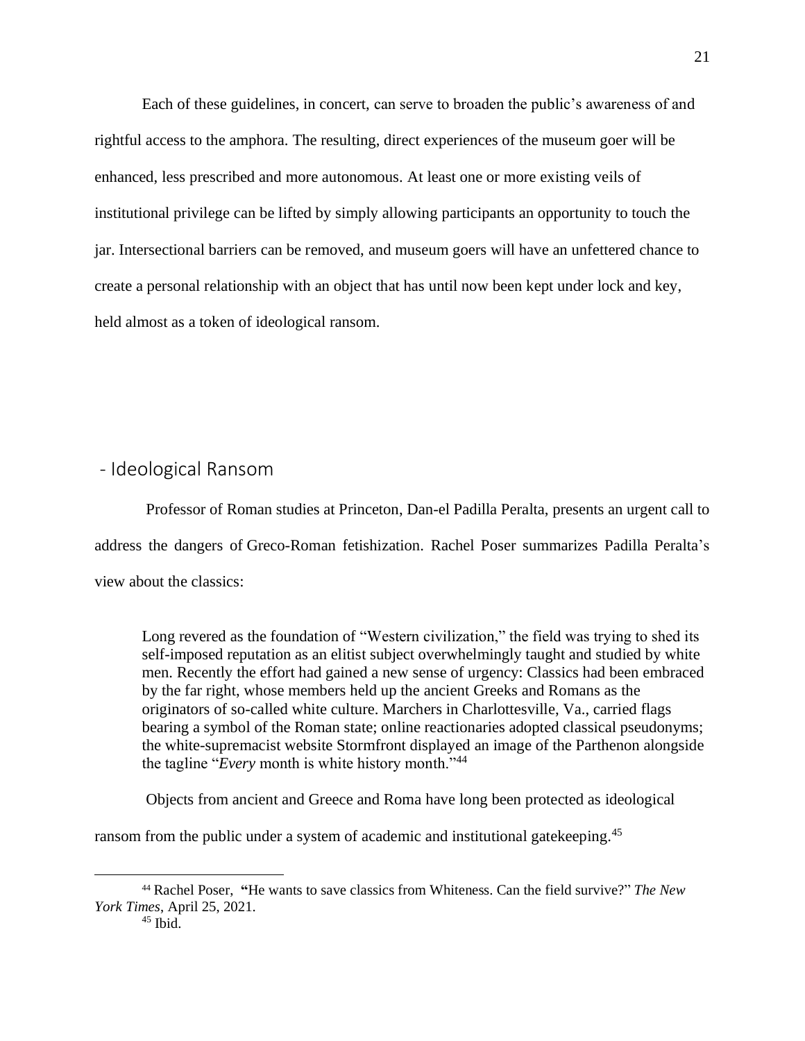Each of these guidelines, in concert, can serve to broaden the public's awareness of and rightful access to the amphora. The resulting, direct experiences of the museum goer will be enhanced, less prescribed and more autonomous. At least one or more existing veils of institutional privilege can be lifted by simply allowing participants an opportunity to touch the jar. Intersectional barriers can be removed, and museum goers will have an unfettered chance to create a personal relationship with an object that has until now been kept under lock and key, held almost as a token of ideological ransom.

### <span id="page-22-0"></span>- Ideological Ransom

Professor of Roman studies at Princeton, Dan-el Padilla Peralta, presents an urgent call to address the dangers of Greco-Roman fetishization. Rachel Poser summarizes Padilla Peralta's view about the classics:

Long revered as the foundation of "Western civilization," the field was trying to shed its self-imposed reputation as an elitist subject overwhelmingly taught and studied by white men. Recently the effort had gained a new sense of urgency: Classics had been embraced by the far right, whose members held up the ancient Greeks and Romans as the originators of so-called white culture. Marchers in Charlottesville, Va., carried flags bearing a symbol of the Roman state; online reactionaries adopted classical pseudonyms; the white-supremacist website Stormfront displayed an image of the Parthenon alongside the tagline "*Every* month is white history month."<sup>44</sup>

Objects from ancient and Greece and Roma have long been protected as ideological

ransom from the public under a system of academic and institutional gatekeeping.<sup>45</sup>

<sup>44</sup> Rachel Poser, **"**He wants to save classics from Whiteness. Can the field survive?" *The New York Times*, April 25, 2021.

 $45$  Ibid.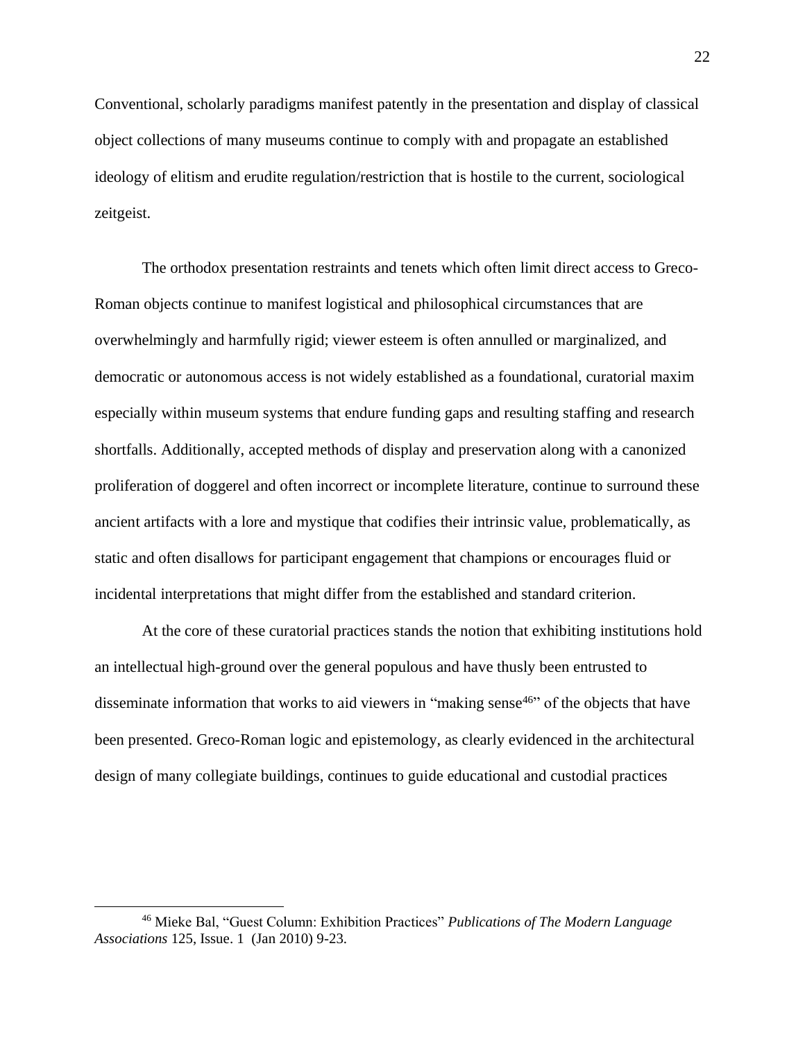Conventional, scholarly paradigms manifest patently in the presentation and display of classical object collections of many museums continue to comply with and propagate an established ideology of elitism and erudite regulation/restriction that is hostile to the current, sociological zeitgeist.

The orthodox presentation restraints and tenets which often limit direct access to Greco-Roman objects continue to manifest logistical and philosophical circumstances that are overwhelmingly and harmfully rigid; viewer esteem is often annulled or marginalized, and democratic or autonomous access is not widely established as a foundational, curatorial maxim especially within museum systems that endure funding gaps and resulting staffing and research shortfalls. Additionally, accepted methods of display and preservation along with a canonized proliferation of doggerel and often incorrect or incomplete literature, continue to surround these ancient artifacts with a lore and mystique that codifies their intrinsic value, problematically, as static and often disallows for participant engagement that champions or encourages fluid or incidental interpretations that might differ from the established and standard criterion.

At the core of these curatorial practices stands the notion that exhibiting institutions hold an intellectual high-ground over the general populous and have thusly been entrusted to disseminate information that works to aid viewers in "making sense<sup>46</sup>" of the objects that have been presented. Greco-Roman logic and epistemology, as clearly evidenced in the architectural design of many collegiate buildings, continues to guide educational and custodial practices

<sup>46</sup> Mieke Bal, "Guest Column: Exhibition Practices" *Publications of The Modern Language Associations* 125, Issue. 1 (Jan 2010) 9-23.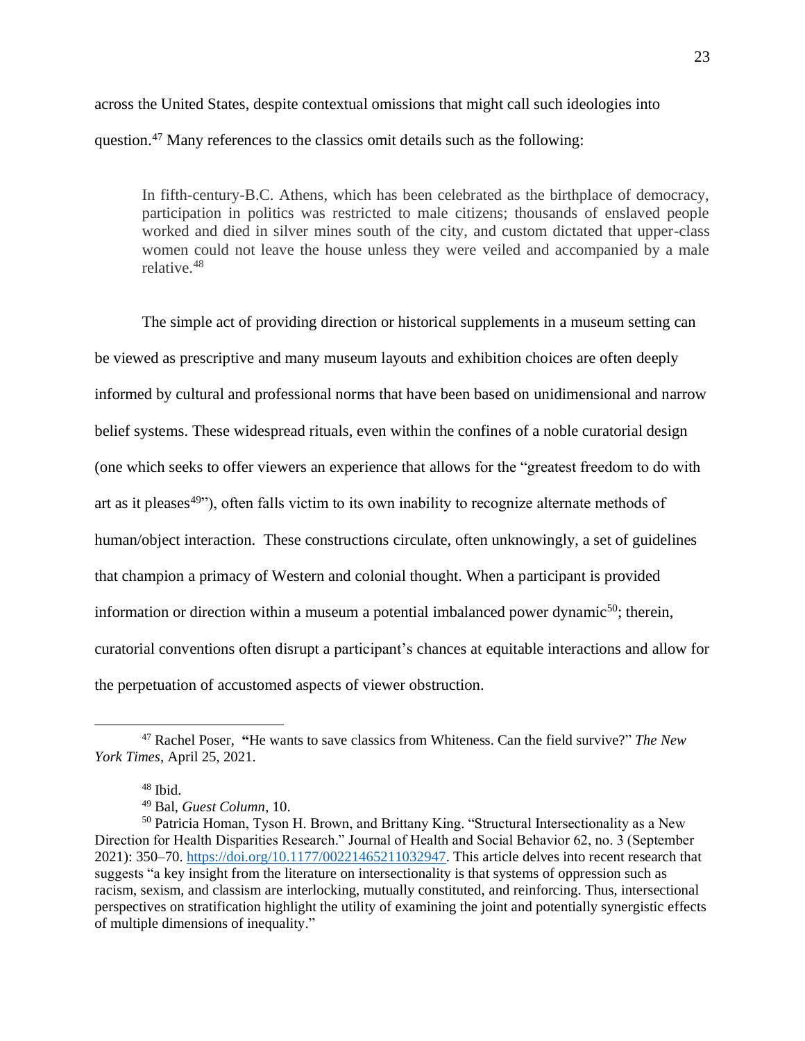across the United States, despite contextual omissions that might call such ideologies into question.<sup>47</sup> Many references to the classics omit details such as the following:

In fifth-century-B.C. Athens, which has been celebrated as the birthplace of democracy, participation in politics was restricted to male citizens; thousands of enslaved people worked and died in silver mines south of the city, and custom dictated that upper-class women could not leave the house unless they were veiled and accompanied by a male relative.<sup>48</sup>

The simple act of providing direction or historical supplements in a museum setting can be viewed as prescriptive and many museum layouts and exhibition choices are often deeply informed by cultural and professional norms that have been based on unidimensional and narrow belief systems. These widespread rituals, even within the confines of a noble curatorial design (one which seeks to offer viewers an experience that allows for the "greatest freedom to do with art as it pleases<sup> $49$ </sup>), often falls victim to its own inability to recognize alternate methods of human/object interaction. These constructions circulate, often unknowingly, a set of guidelines that champion a primacy of Western and colonial thought. When a participant is provided information or direction within a museum a potential imbalanced power dynamic<sup>50</sup>; therein, curatorial conventions often disrupt a participant's chances at equitable interactions and allow for the perpetuation of accustomed aspects of viewer obstruction.

<sup>47</sup> Rachel Poser, **"**He wants to save classics from Whiteness. Can the field survive?" *The New York Times*, April 25, 2021.

<sup>48</sup> Ibid.

<sup>49</sup> Bal, *Guest Column*, 10.

<sup>&</sup>lt;sup>50</sup> Patricia Homan, Tyson H. Brown, and Brittany King. "Structural Intersectionality as a New Direction for Health Disparities Research." Journal of Health and Social Behavior 62, no. 3 (September 2021): 350–70. [https://doi.org/10.1177/00221465211032947.](https://doi.org/10.1177/00221465211032947) This article delves into recent research that suggests "a key insight from the literature on intersectionality is that systems of oppression such as racism, sexism, and classism are interlocking, mutually constituted, and reinforcing. Thus, intersectional perspectives on stratification highlight the utility of examining the joint and potentially synergistic effects of multiple dimensions of inequality."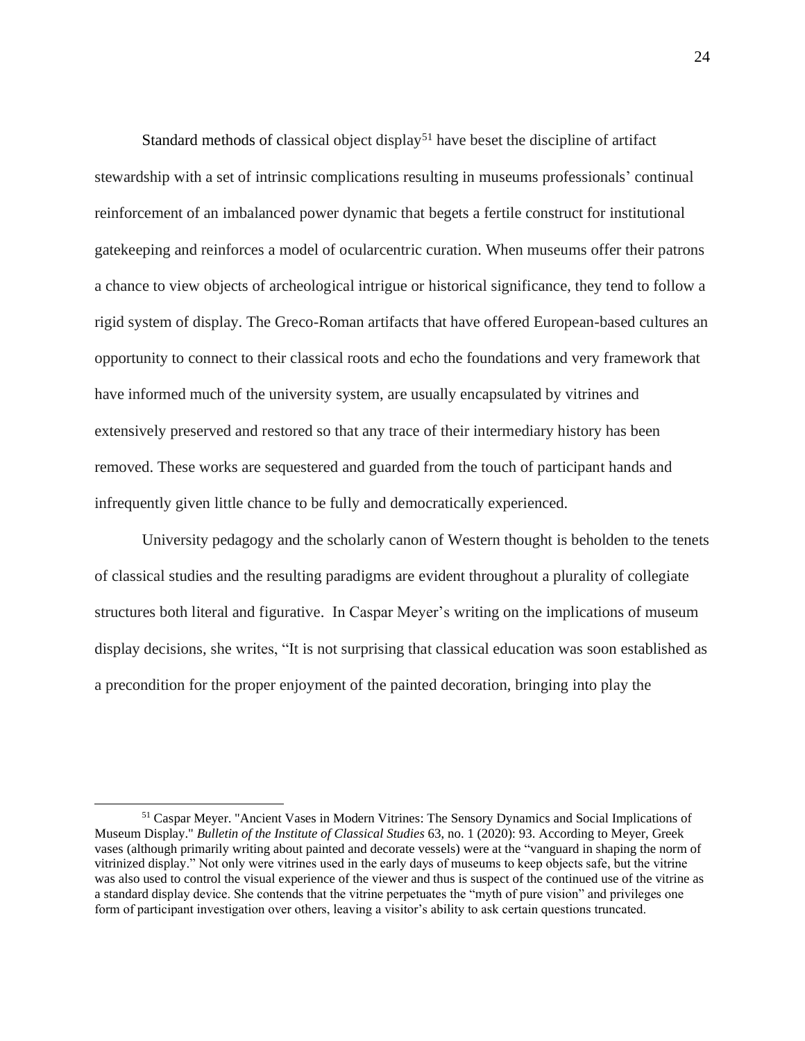Standard methods of classical object display<sup>51</sup> have beset the discipline of artifact stewardship with a set of intrinsic complications resulting in museums professionals' continual reinforcement of an imbalanced power dynamic that begets a fertile construct for institutional gatekeeping and reinforces a model of ocularcentric curation. When museums offer their patrons a chance to view objects of archeological intrigue or historical significance, they tend to follow a rigid system of display. The Greco-Roman artifacts that have offered European-based cultures an opportunity to connect to their classical roots and echo the foundations and very framework that have informed much of the university system, are usually encapsulated by vitrines and extensively preserved and restored so that any trace of their intermediary history has been removed. These works are sequestered and guarded from the touch of participant hands and infrequently given little chance to be fully and democratically experienced.

University pedagogy and the scholarly canon of Western thought is beholden to the tenets of classical studies and the resulting paradigms are evident throughout a plurality of collegiate structures both literal and figurative. In Caspar Meyer's writing on the implications of museum display decisions, she writes, "It is not surprising that classical education was soon established as a precondition for the proper enjoyment of the painted decoration, bringing into play the

<sup>&</sup>lt;sup>51</sup> Caspar Meyer. "Ancient Vases in Modern Vitrines: The Sensory Dynamics and Social Implications of Museum Display." *Bulletin of the Institute of Classical Studies* 63, no. 1 (2020): 93. According to Meyer, Greek vases (although primarily writing about painted and decorate vessels) were at the "vanguard in shaping the norm of vitrinized display." Not only were vitrines used in the early days of museums to keep objects safe, but the vitrine was also used to control the visual experience of the viewer and thus is suspect of the continued use of the vitrine as a standard display device. She contends that the vitrine perpetuates the "myth of pure vision" and privileges one form of participant investigation over others, leaving a visitor's ability to ask certain questions truncated.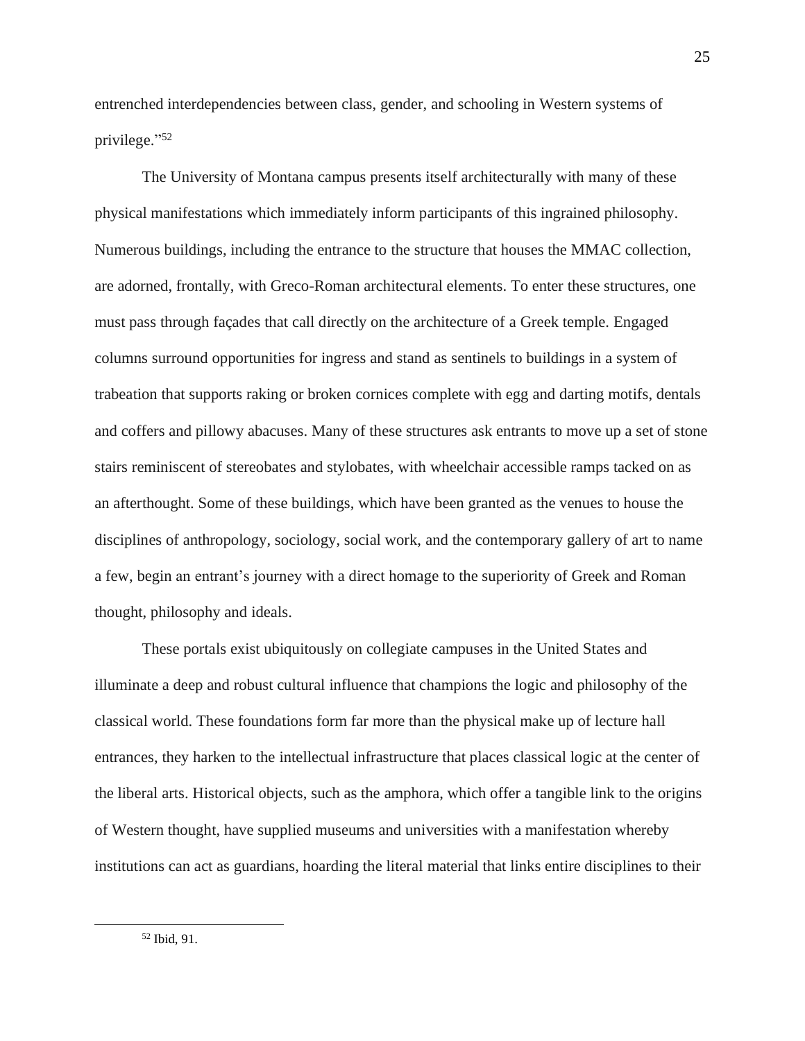entrenched interdependencies between class, gender, and schooling in Western systems of privilege." 52

The University of Montana campus presents itself architecturally with many of these physical manifestations which immediately inform participants of this ingrained philosophy. Numerous buildings, including the entrance to the structure that houses the MMAC collection, are adorned, frontally, with Greco-Roman architectural elements. To enter these structures, one must pass through façades that call directly on the architecture of a Greek temple. Engaged columns surround opportunities for ingress and stand as sentinels to buildings in a system of trabeation that supports raking or broken cornices complete with egg and darting motifs, dentals and coffers and pillowy abacuses. Many of these structures ask entrants to move up a set of stone stairs reminiscent of stereobates and stylobates, with wheelchair accessible ramps tacked on as an afterthought. Some of these buildings, which have been granted as the venues to house the disciplines of anthropology, sociology, social work, and the contemporary gallery of art to name a few, begin an entrant's journey with a direct homage to the superiority of Greek and Roman thought, philosophy and ideals.

These portals exist ubiquitously on collegiate campuses in the United States and illuminate a deep and robust cultural influence that champions the logic and philosophy of the classical world. These foundations form far more than the physical make up of lecture hall entrances, they harken to the intellectual infrastructure that places classical logic at the center of the liberal arts. Historical objects, such as the amphora, which offer a tangible link to the origins of Western thought, have supplied museums and universities with a manifestation whereby institutions can act as guardians, hoarding the literal material that links entire disciplines to their

<sup>52</sup> Ibid, 91.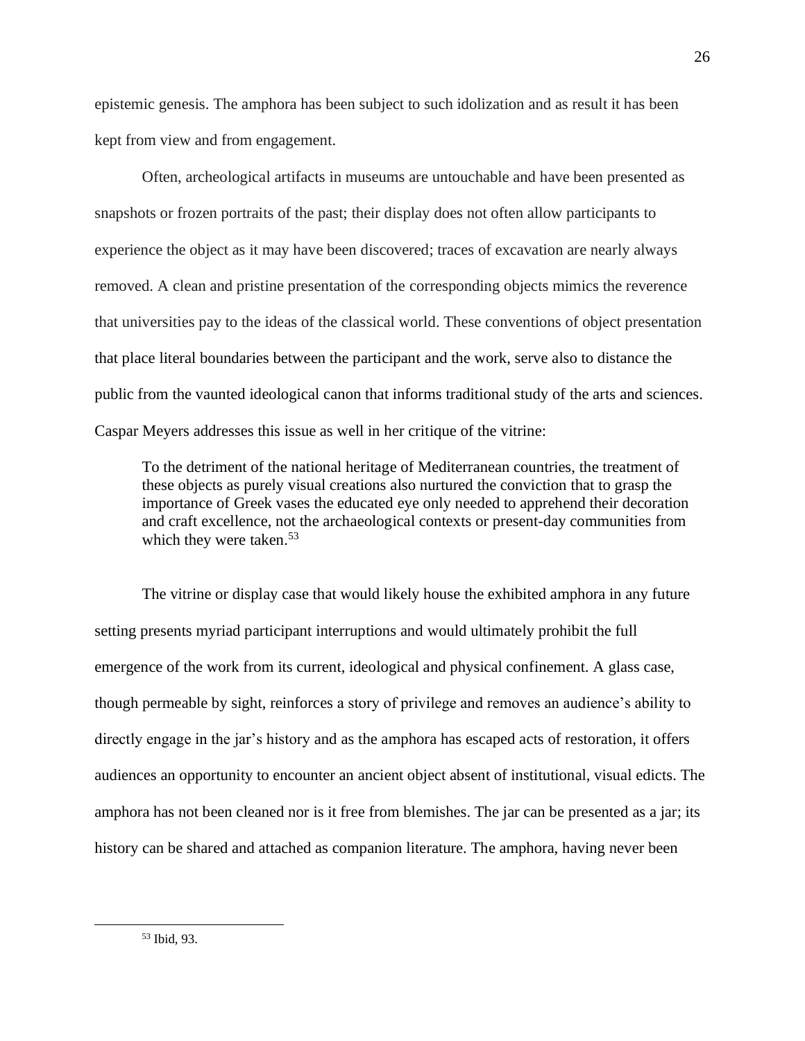epistemic genesis. The amphora has been subject to such idolization and as result it has been kept from view and from engagement.

Often, archeological artifacts in museums are untouchable and have been presented as snapshots or frozen portraits of the past; their display does not often allow participants to experience the object as it may have been discovered; traces of excavation are nearly always removed. A clean and pristine presentation of the corresponding objects mimics the reverence that universities pay to the ideas of the classical world. These conventions of object presentation that place literal boundaries between the participant and the work, serve also to distance the public from the vaunted ideological canon that informs traditional study of the arts and sciences. Caspar Meyers addresses this issue as well in her critique of the vitrine:

To the detriment of the national heritage of Mediterranean countries, the treatment of these objects as purely visual creations also nurtured the conviction that to grasp the importance of Greek vases the educated eye only needed to apprehend their decoration and craft excellence, not the archaeological contexts or present-day communities from which they were taken.<sup>53</sup>

The vitrine or display case that would likely house the exhibited amphora in any future setting presents myriad participant interruptions and would ultimately prohibit the full emergence of the work from its current, ideological and physical confinement. A glass case, though permeable by sight, reinforces a story of privilege and removes an audience's ability to directly engage in the jar's history and as the amphora has escaped acts of restoration, it offers audiences an opportunity to encounter an ancient object absent of institutional, visual edicts. The amphora has not been cleaned nor is it free from blemishes. The jar can be presented as a jar; its history can be shared and attached as companion literature. The amphora, having never been

<sup>53</sup> Ibid, 93.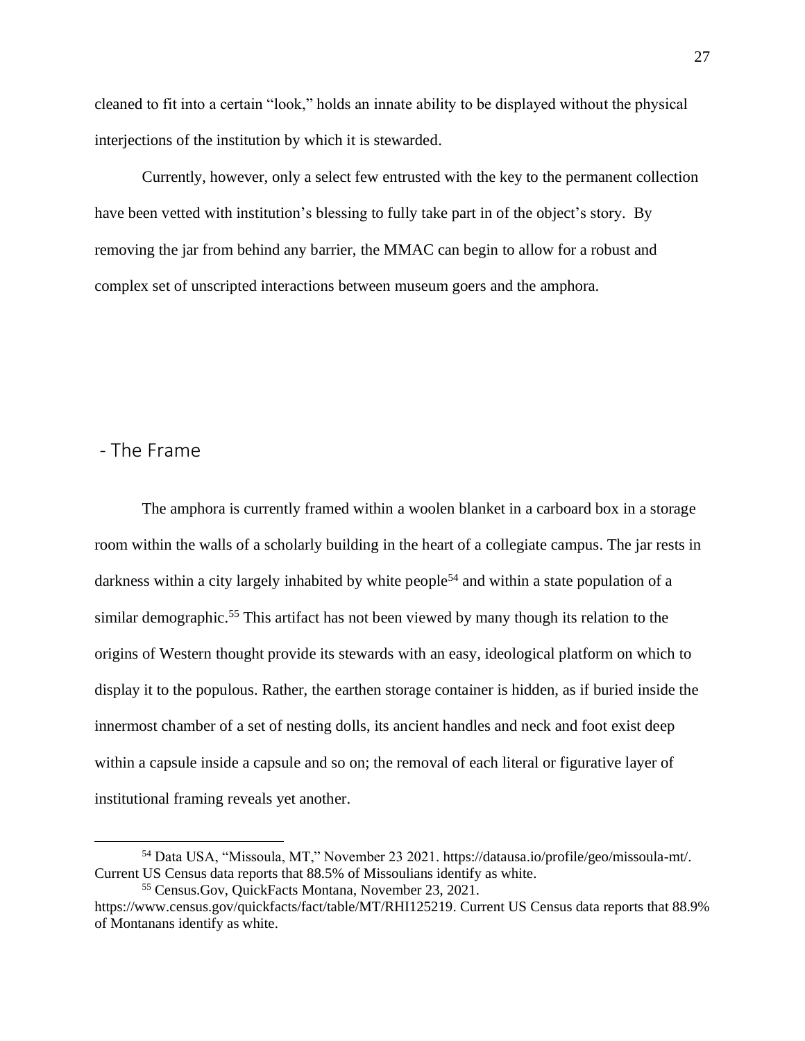cleaned to fit into a certain "look," holds an innate ability to be displayed without the physical interjections of the institution by which it is stewarded.

Currently, however, only a select few entrusted with the key to the permanent collection have been vetted with institution's blessing to fully take part in of the object's story. By removing the jar from behind any barrier, the MMAC can begin to allow for a robust and complex set of unscripted interactions between museum goers and the amphora.

### <span id="page-28-0"></span>- The Frame

The amphora is currently framed within a woolen blanket in a carboard box in a storage room within the walls of a scholarly building in the heart of a collegiate campus. The jar rests in darkness within a city largely inhabited by white people<sup>54</sup> and within a state population of a similar demographic.<sup>55</sup> This artifact has not been viewed by many though its relation to the origins of Western thought provide its stewards with an easy, ideological platform on which to display it to the populous. Rather, the earthen storage container is hidden, as if buried inside the innermost chamber of a set of nesting dolls, its ancient handles and neck and foot exist deep within a capsule inside a capsule and so on; the removal of each literal or figurative layer of institutional framing reveals yet another.

<sup>54</sup> Data USA, "Missoula, MT," November 23 2021. [https://datausa.io/profile/geo/missoula-mt/.](https://datausa.io/profile/geo/missoula-mt/) Current US Census data reports that 88.5% of Missoulians identify as white.

<sup>55</sup> Census.Gov, QuickFacts Montana, November 23, 2021.

[https://www.census.gov/quickfacts/fact/table/MT/RHI125219.](https://www.census.gov/quickfacts/fact/table/MT/RHI125219) Current US Census data reports that 88.9% of Montanans identify as white.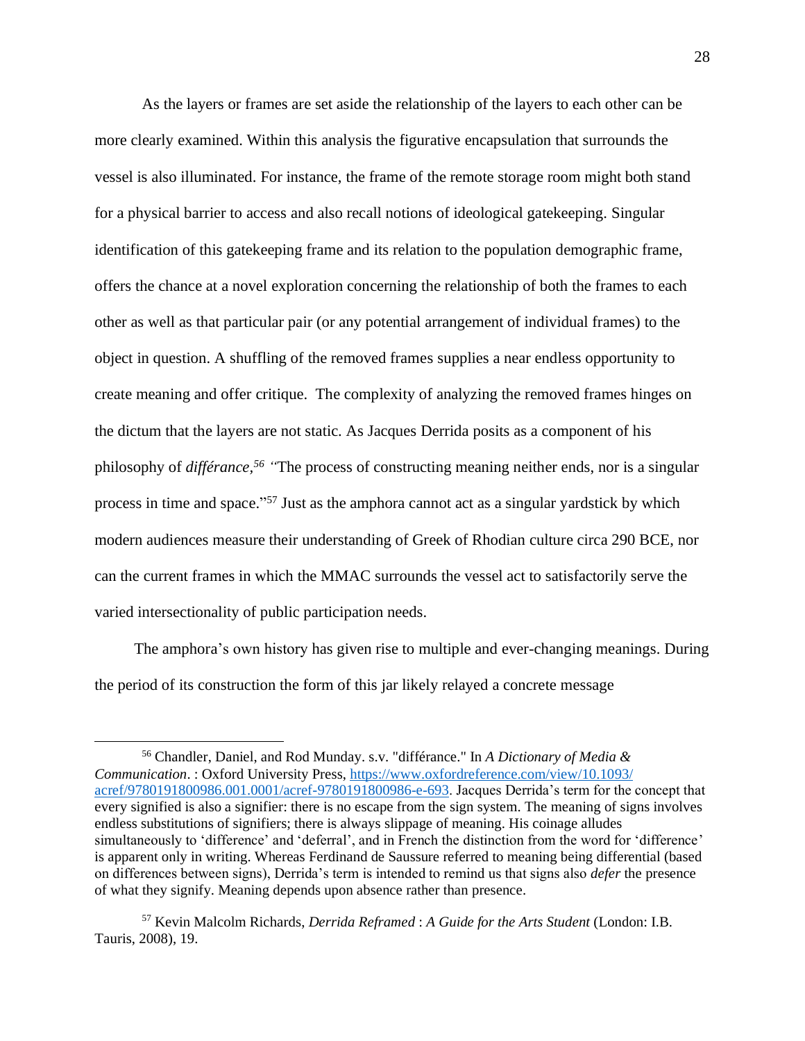As the layers or frames are set aside the relationship of the layers to each other can be more clearly examined. Within this analysis the figurative encapsulation that surrounds the vessel is also illuminated. For instance, the frame of the remote storage room might both stand for a physical barrier to access and also recall notions of ideological gatekeeping. Singular identification of this gatekeeping frame and its relation to the population demographic frame, offers the chance at a novel exploration concerning the relationship of both the frames to each other as well as that particular pair (or any potential arrangement of individual frames) to the object in question. A shuffling of the removed frames supplies a near endless opportunity to create meaning and offer critique. The complexity of analyzing the removed frames hinges on the dictum that the layers are not static. As Jacques Derrida posits as a component of his philosophy of *différance, <sup>56</sup> "*The process of constructing meaning neither ends, nor is a singular process in time and space."<sup>57</sup> Just as the amphora cannot act as a singular yardstick by which modern audiences measure their understanding of Greek of Rhodian culture circa 290 BCE, nor can the current frames in which the MMAC surrounds the vessel act to satisfactorily serve the varied intersectionality of public participation needs.

 The amphora's own history has given rise to multiple and ever-changing meanings. During the period of its construction the form of this jar likely relayed a concrete message

<sup>56</sup> Chandler, Daniel, and Rod Munday. s.v. "différance." In *A Dictionary of Media & Communication*. : Oxford University Press, [https://www.oxfordreference.com/view/10.1093/](https://www.oxfordreference.com/view/10.1093/%20acref/9780191800986.001.0001/acref-9780191800986-e-693)  [acref/9780191800986.001.0001/acref-9780191800986-e-693.](https://www.oxfordreference.com/view/10.1093/%20acref/9780191800986.001.0001/acref-9780191800986-e-693) Jacques Derrida's term for the concept that every [signified](https://www.oxfordreference.com/view/10.1093/acref/9780191800986.001.0001/acref-9780191800986-e-2487) is also a [signifier:](https://www.oxfordreference.com/view/10.1093/acref/9780191800986.001.0001/acref-9780191800986-e-2488) there is no escape from the [sign system.](https://www.oxfordreference.com/view/10.1093/acref/9780191800986.001.0001/acref-9780191800986-e-2492) The meaning of signs involves endless substitutions of signifiers; there is always [slippage of meaning.](https://www.oxfordreference.com/view/10.1093/acref/9780191800986.001.0001/acref-9780191800986-e-2508) His coinage alludes simultaneously to 'difference' and 'deferral', and in French the distinction from the word for 'difference' is apparent only in writing. Whereas Ferdinand de Saussure referred to meaning being differential (based on differences between signs), Derrida's term is intended to remind us that signs also *defer* the presence of what they signify. Meaning depends upon absence rather than [presence.](https://www.oxfordreference.com/view/10.1093/acref/9780191800986.001.0001/acref-9780191800986-e-2119)

<sup>57</sup> Kevin Malcolm Richards, *Derrida Reframed* : *A Guide for the Arts Student* (London: I.B. Tauris, 2008), 19.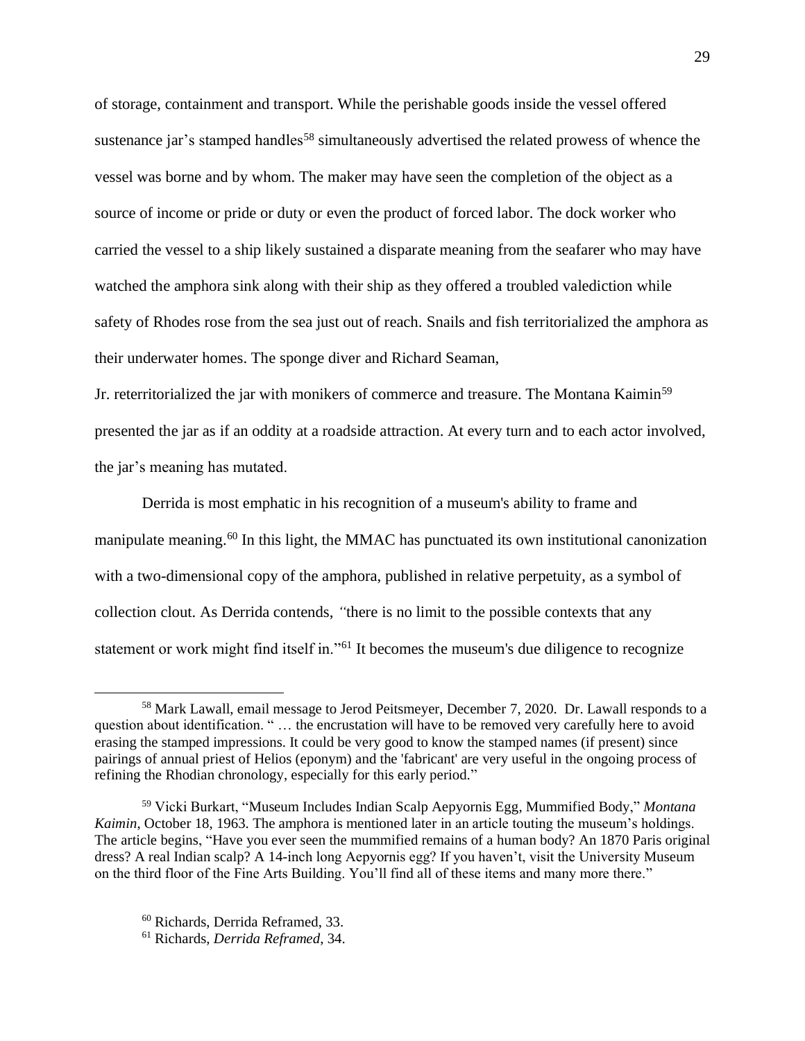of storage, containment and transport. While the perishable goods inside the vessel offered sustenance jar's stamped handles<sup>58</sup> simultaneously advertised the related prowess of whence the vessel was borne and by whom. The maker may have seen the completion of the object as a source of income or pride or duty or even the product of forced labor. The dock worker who carried the vessel to a ship likely sustained a disparate meaning from the seafarer who may have watched the amphora sink along with their ship as they offered a troubled valediction while safety of Rhodes rose from the sea just out of reach. Snails and fish territorialized the amphora as their underwater homes. The sponge diver and Richard Seaman,

Jr. reterritorialized the jar with monikers of commerce and treasure. The Montana Kaimin<sup>59</sup> presented the jar as if an oddity at a roadside attraction. At every turn and to each actor involved, the jar's meaning has mutated.

Derrida is most emphatic in his recognition of a museum's ability to frame and manipulate meaning. <sup>60</sup> In this light, the MMAC has punctuated its own institutional canonization with a two-dimensional copy of the amphora, published in relative perpetuity, as a symbol of collection clout. As Derrida contends, *"*there is no limit to the possible contexts that any statement or work might find itself in."<sup>61</sup> It becomes the museum's due diligence to recognize

<sup>&</sup>lt;sup>58</sup> Mark Lawall, email message to Jerod Peitsmeyer, December 7, 2020. Dr. Lawall responds to a question about identification. " … the encrustation will have to be removed very carefully here to avoid erasing the stamped impressions. It could be very good to know the stamped names (if present) since pairings of annual priest of Helios (eponym) and the 'fabricant' are very useful in the ongoing process of refining the Rhodian chronology, especially for this early period."

<sup>59</sup> Vicki Burkart, "Museum Includes Indian Scalp Aepyornis Egg, Mummified Body," *Montana Kaimin*, October 18, 1963. The amphora is mentioned later in an article touting the museum's holdings. The article begins, "Have you ever seen the mummified remains of a human body? An 1870 Paris original dress? A real Indian scalp? A 14-inch long Aepyornis egg? If you haven't, visit the University Museum on the third floor of the Fine Arts Building. You'll find all of these items and many more there."

<sup>60</sup> Richards, Derrida Reframed, 33.

<sup>61</sup> Richards, *Derrida Reframed*, 34.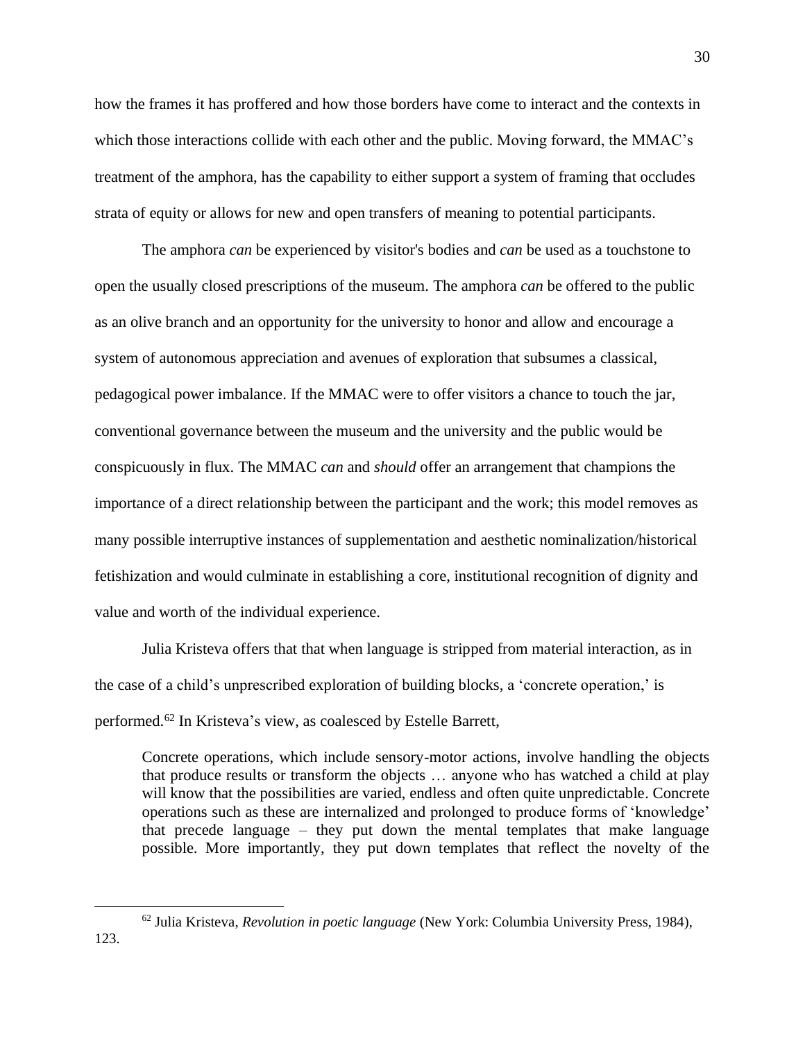how the frames it has proffered and how those borders have come to interact and the contexts in which those interactions collide with each other and the public. Moving forward, the MMAC's treatment of the amphora, has the capability to either support a system of framing that occludes strata of equity or allows for new and open transfers of meaning to potential participants.

The amphora *can* be experienced by visitor's bodies and *can* be used as a touchstone to open the usually closed prescriptions of the museum. The amphora *can* be offered to the public as an olive branch and an opportunity for the university to honor and allow and encourage a system of autonomous appreciation and avenues of exploration that subsumes a classical, pedagogical power imbalance. If the MMAC were to offer visitors a chance to touch the jar, conventional governance between the museum and the university and the public would be conspicuously in flux. The MMAC *can* and *should* offer an arrangement that champions the importance of a direct relationship between the participant and the work; this model removes as many possible interruptive instances of supplementation and aesthetic nominalization/historical fetishization and would culminate in establishing a core, institutional recognition of dignity and value and worth of the individual experience.

Julia Kristeva offers that that when language is stripped from material interaction, as in the case of a child's unprescribed exploration of building blocks, a 'concrete operation,' is performed.<sup>62</sup> In Kristeva's view, as coalesced by Estelle Barrett,

Concrete operations, which include sensory-motor actions, involve handling the objects that produce results or transform the objects … anyone who has watched a child at play will know that the possibilities are varied, endless and often quite unpredictable. Concrete operations such as these are internalized and prolonged to produce forms of 'knowledge' that precede language – they put down the mental templates that make language possible. More importantly, they put down templates that reflect the novelty of the

<sup>62</sup> Julia Kristeva, *Revolution in poetic language* (New York: Columbia University Press, 1984),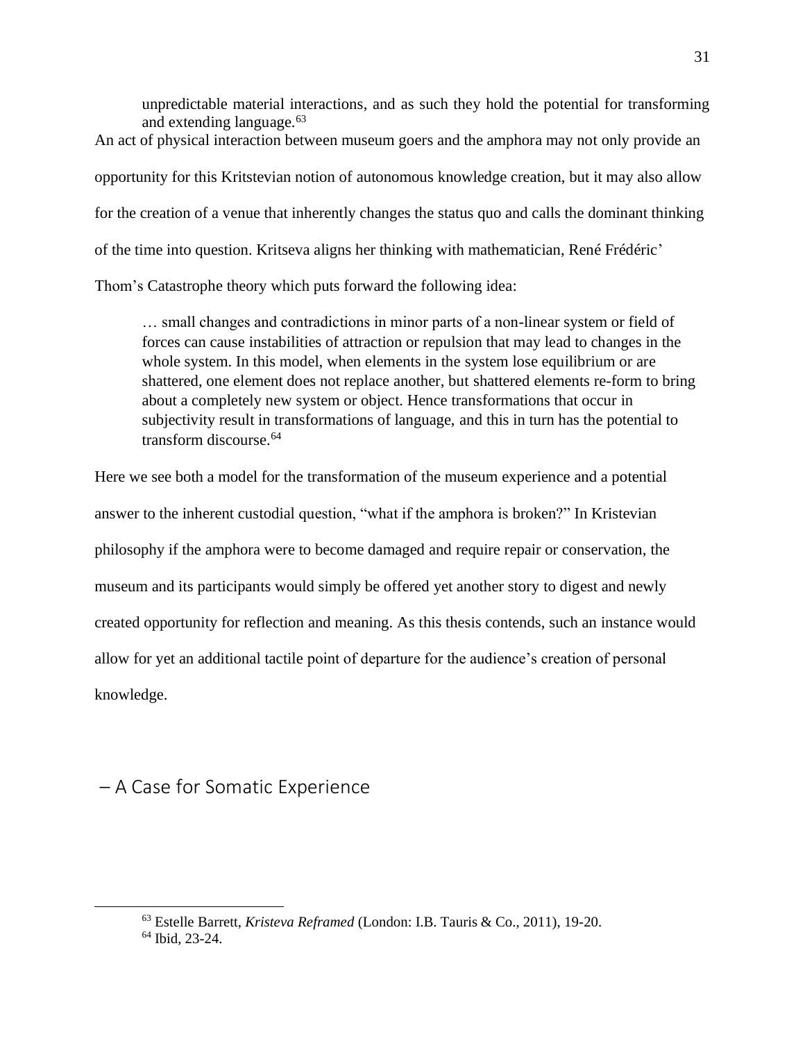unpredictable material interactions, and as such they hold the potential for transforming and extending language.<sup>63</sup> An act of physical interaction between museum goers and the amphora may not only provide an opportunity for this Kritstevian notion of autonomous knowledge creation, but it may also allow for the creation of a venue that inherently changes the status quo and calls the dominant thinking of the time into question. Kritseva aligns her thinking with mathematician, René Frédéric' Thom's Catastrophe theory which puts forward the following idea:

… small changes and contradictions in minor parts of a non-linear system or field of forces can cause instabilities of attraction or repulsion that may lead to changes in the whole system. In this model, when elements in the system lose equilibrium or are shattered, one element does not replace another, but shattered elements re-form to bring about a completely new system or object. Hence transformations that occur in subjectivity result in transformations of language, and this in turn has the potential to transform discourse.<sup>64</sup>

Here we see both a model for the transformation of the museum experience and a potential answer to the inherent custodial question, "what if the amphora is broken?" In Kristevian philosophy if the amphora were to become damaged and require repair or conservation, the museum and its participants would simply be offered yet another story to digest and newly created opportunity for reflection and meaning. As this thesis contends, such an instance would allow for yet an additional tactile point of departure for the audience's creation of personal knowledge.

<span id="page-32-0"></span>– A Case for Somatic Experience

<sup>63</sup> Estelle Barrett, *Kristeva Reframed* (London: I.B. Tauris & Co., 2011), 19-20.

<sup>64</sup> Ibid, 23-24.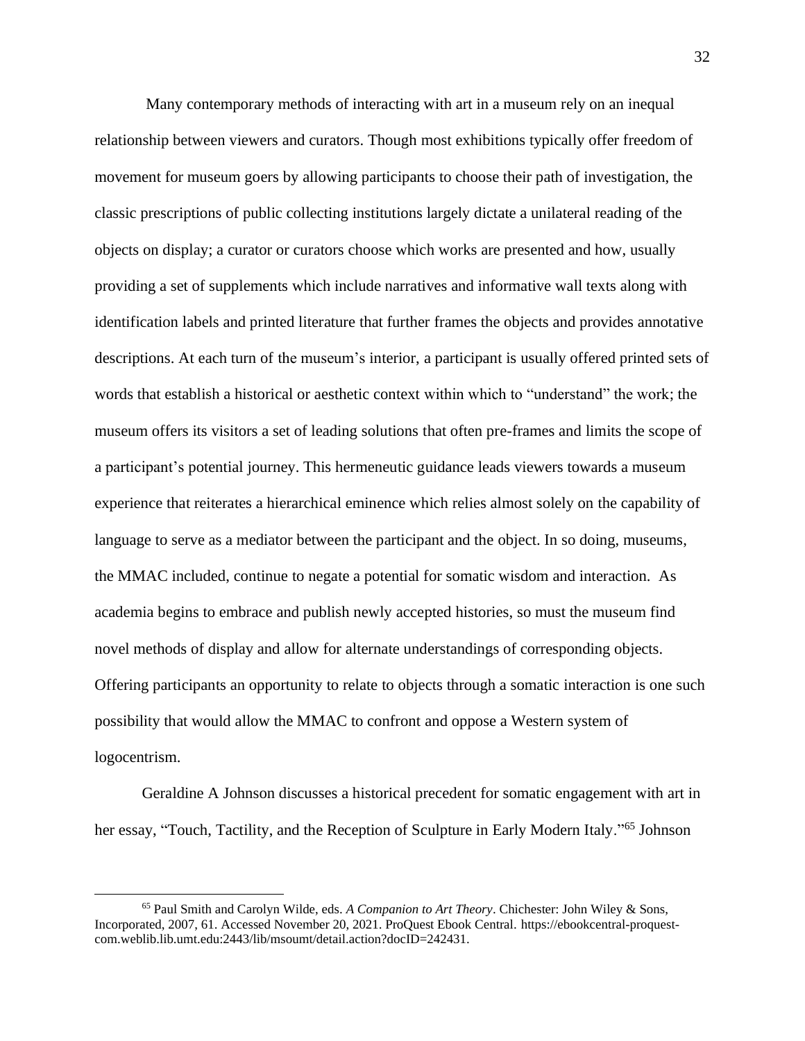Many contemporary methods of interacting with art in a museum rely on an inequal relationship between viewers and curators. Though most exhibitions typically offer freedom of movement for museum goers by allowing participants to choose their path of investigation, the classic prescriptions of public collecting institutions largely dictate a unilateral reading of the objects on display; a curator or curators choose which works are presented and how, usually providing a set of supplements which include narratives and informative wall texts along with identification labels and printed literature that further frames the objects and provides annotative descriptions. At each turn of the museum's interior, a participant is usually offered printed sets of words that establish a historical or aesthetic context within which to "understand" the work; the museum offers its visitors a set of leading solutions that often pre-frames and limits the scope of a participant's potential journey. This hermeneutic guidance leads viewers towards a museum experience that reiterates a hierarchical eminence which relies almost solely on the capability of language to serve as a mediator between the participant and the object. In so doing, museums, the MMAC included, continue to negate a potential for somatic wisdom and interaction. As academia begins to embrace and publish newly accepted histories, so must the museum find novel methods of display and allow for alternate understandings of corresponding objects. Offering participants an opportunity to relate to objects through a somatic interaction is one such possibility that would allow the MMAC to confront and oppose a Western system of logocentrism.

Geraldine A Johnson discusses a historical precedent for somatic engagement with art in her essay, "Touch, Tactility, and the Reception of Sculpture in Early Modern Italy."<sup>65</sup> Johnson

<sup>65</sup> Paul Smith and Carolyn Wilde, eds. *A Companion to Art Theory*. Chichester: John Wiley & Sons, Incorporated, 2007, 61. Accessed November 20, 2021. ProQuest Ebook Central. https://ebookcentral-proquestcom.weblib.lib.umt.edu:2443/lib/msoumt/detail.action?docID=242431.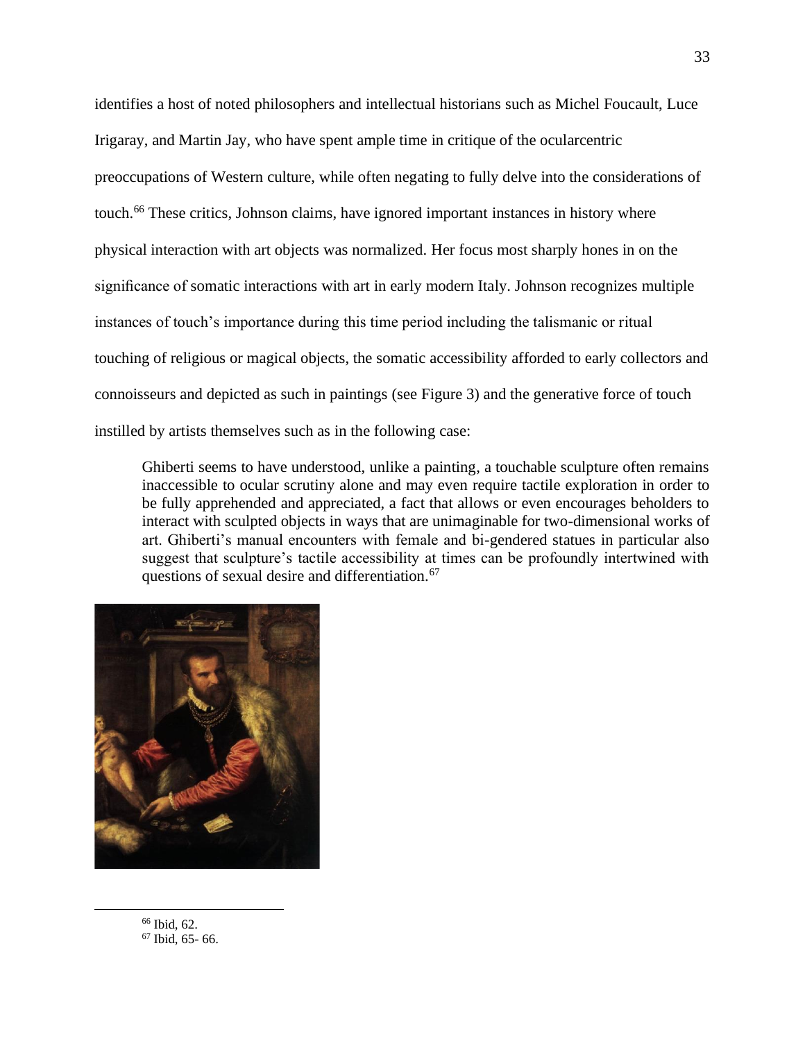identifies a host of noted philosophers and intellectual historians such as Michel Foucault, Luce Irigaray, and Martin Jay, who have spent ample time in critique of the ocularcentric preoccupations of Western culture, while often negating to fully delve into the considerations of touch. <sup>66</sup> These critics, Johnson claims, have ignored important instances in history where physical interaction with art objects was normalized. Her focus most sharply hones in on the significance of somatic interactions with art in early modern Italy. Johnson recognizes multiple instances of touch's importance during this time period including the talismanic or ritual touching of religious or magical objects, the somatic accessibility afforded to early collectors and connoisseurs and depicted as such in paintings (see Figure 3) and the generative force of touch instilled by artists themselves such as in the following case:

Ghiberti seems to have understood, unlike a painting, a touchable sculpture often remains inaccessible to ocular scrutiny alone and may even require tactile exploration in order to be fully apprehended and appreciated, a fact that allows or even encourages beholders to interact with sculpted objects in ways that are unimaginable for two-dimensional works of art. Ghiberti's manual encounters with female and bi-gendered statues in particular also suggest that sculpture's tactile accessibility at times can be profoundly intertwined with questions of sexual desire and differentiation.<sup>67</sup>



<sup>66</sup> Ibid, 62. <sup>67</sup> Ibid, 65- 66.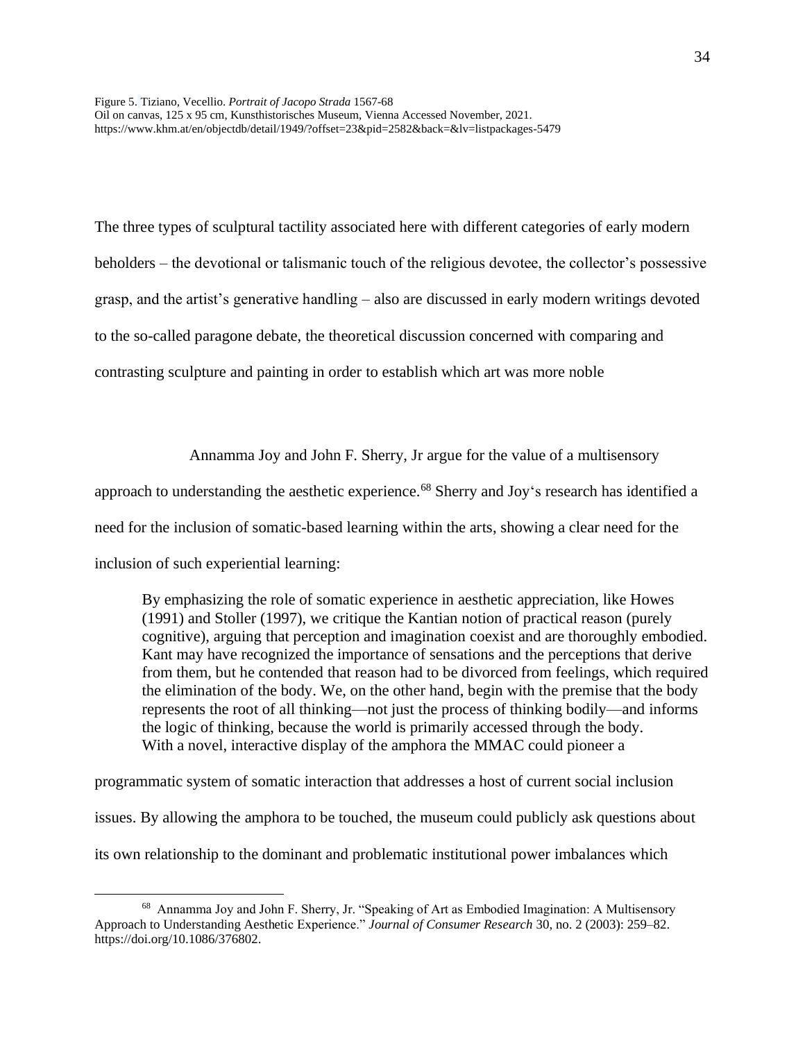Figure 5. Tiziano, Vecellio. *Portrait of Jacopo Strada* 1567-68 Oil on canvas, 125 x 95 cm, Kunsthistorisches Museum, Vienna Accessed November, 2021. https://www.khm.at/en/objectdb/detail/1949/?offset=23&pid=2582&back=&lv=listpackages-5479

The three types of sculptural tactility associated here with different categories of early modern beholders – the devotional or talismanic touch of the religious devotee, the collector's possessive grasp, and the artist's generative handling – also are discussed in early modern writings devoted to the so-called paragone debate, the theoretical discussion concerned with comparing and contrasting sculpture and painting in order to establish which art was more noble

Annamma Joy and John F. Sherry, Jr argue for the value of a multisensory

approach to understanding the aesthetic experience.<sup>68</sup> Sherry and Joy's research has identified a

need for the inclusion of somatic-based learning within the arts, showing a clear need for the

inclusion of such experiential learning:

By emphasizing the role of somatic experience in aesthetic appreciation, like Howes (1991) and Stoller (1997), we critique the Kantian notion of practical reason (purely cognitive), arguing that perception and imagination coexist and are thoroughly embodied. Kant may have recognized the importance of sensations and the perceptions that derive from them, but he contended that reason had to be divorced from feelings, which required the elimination of the body. We, on the other hand, begin with the premise that the body represents the root of all thinking—not just the process of thinking bodily—and informs the logic of thinking, because the world is primarily accessed through the body. With a novel, interactive display of the amphora the MMAC could pioneer a

programmatic system of somatic interaction that addresses a host of current social inclusion issues. By allowing the amphora to be touched, the museum could publicly ask questions about its own relationship to the dominant and problematic institutional power imbalances which

<sup>&</sup>lt;sup>68</sup> Annamma Joy and John F. Sherry, Jr. "Speaking of Art as Embodied Imagination: A Multisensory Approach to Understanding Aesthetic Experience." *Journal of Consumer Research* 30, no. 2 (2003): 259–82. https://doi.org/10.1086/376802.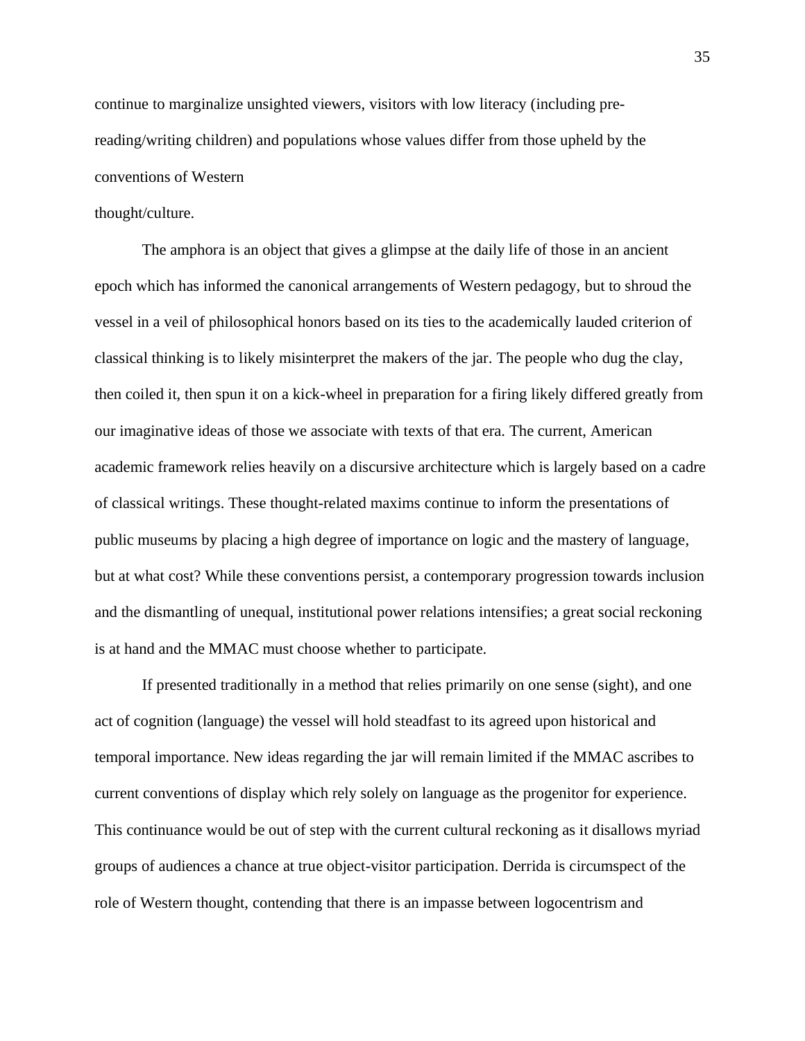continue to marginalize unsighted viewers, visitors with low literacy (including prereading/writing children) and populations whose values differ from those upheld by the conventions of Western

#### thought/culture.

The amphora is an object that gives a glimpse at the daily life of those in an ancient epoch which has informed the canonical arrangements of Western pedagogy, but to shroud the vessel in a veil of philosophical honors based on its ties to the academically lauded criterion of classical thinking is to likely misinterpret the makers of the jar. The people who dug the clay, then coiled it, then spun it on a kick-wheel in preparation for a firing likely differed greatly from our imaginative ideas of those we associate with texts of that era. The current, American academic framework relies heavily on a discursive architecture which is largely based on a cadre of classical writings. These thought-related maxims continue to inform the presentations of public museums by placing a high degree of importance on logic and the mastery of language, but at what cost? While these conventions persist, a contemporary progression towards inclusion and the dismantling of unequal, institutional power relations intensifies; a great social reckoning is at hand and the MMAC must choose whether to participate.

If presented traditionally in a method that relies primarily on one sense (sight), and one act of cognition (language) the vessel will hold steadfast to its agreed upon historical and temporal importance. New ideas regarding the jar will remain limited if the MMAC ascribes to current conventions of display which rely solely on language as the progenitor for experience. This continuance would be out of step with the current cultural reckoning as it disallows myriad groups of audiences a chance at true object-visitor participation. Derrida is circumspect of the role of Western thought, contending that there is an impasse between logocentrism and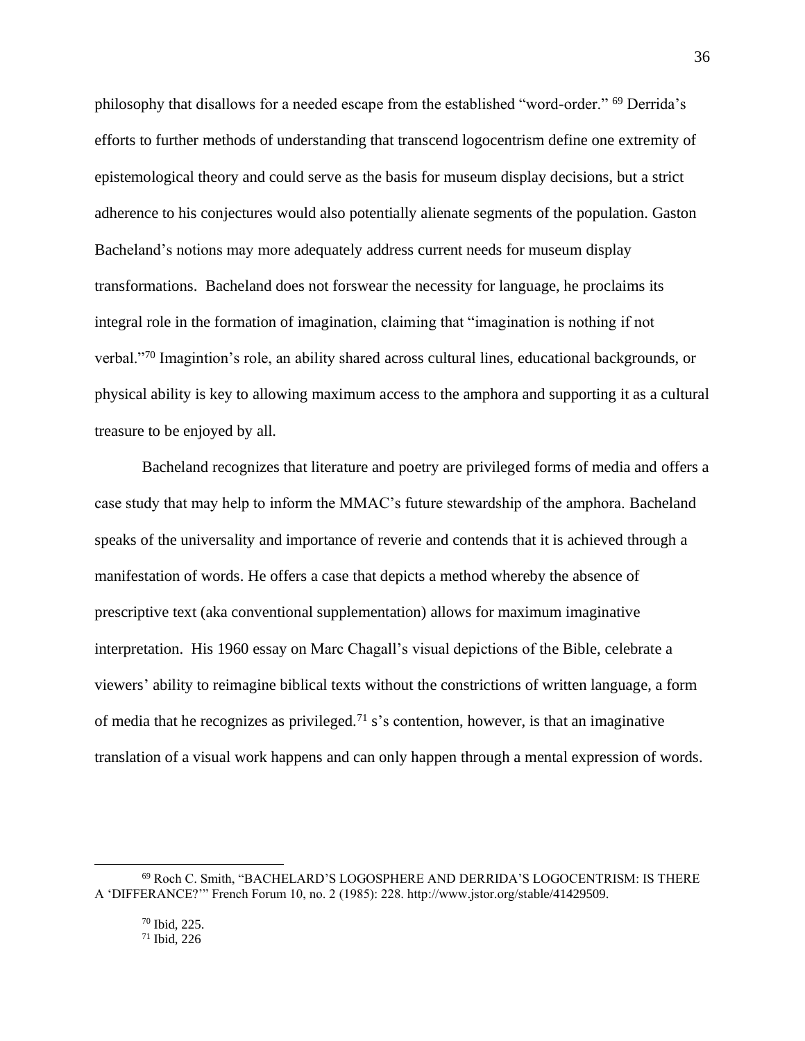philosophy that disallows for a needed escape from the established "word-order." <sup>69</sup> Derrida's efforts to further methods of understanding that transcend logocentrism define one extremity of epistemological theory and could serve as the basis for museum display decisions, but a strict adherence to his conjectures would also potentially alienate segments of the population. Gaston Bacheland's notions may more adequately address current needs for museum display transformations. Bacheland does not forswear the necessity for language, he proclaims its integral role in the formation of imagination, claiming that "imagination is nothing if not verbal."<sup>70</sup> Imagintion's role, an ability shared across cultural lines, educational backgrounds, or physical ability is key to allowing maximum access to the amphora and supporting it as a cultural treasure to be enjoyed by all.

Bacheland recognizes that literature and poetry are privileged forms of media and offers a case study that may help to inform the MMAC's future stewardship of the amphora. Bacheland speaks of the universality and importance of reverie and contends that it is achieved through a manifestation of words. He offers a case that depicts a method whereby the absence of prescriptive text (aka conventional supplementation) allows for maximum imaginative interpretation. His 1960 essay on Marc Chagall's visual depictions of the Bible, celebrate a viewers' ability to reimagine biblical texts without the constrictions of written language, a form of media that he recognizes as privileged.<sup>71</sup> s's contention, however, is that an imaginative translation of a visual work happens and can only happen through a mental expression of words.

<sup>69</sup> Roch C. Smith, "BACHELARD'S LOGOSPHERE AND DERRIDA'S LOGOCENTRISM: IS THERE A 'DIFFERANCE?'" French Forum 10, no. 2 (1985): 228. http://www.jstor.org/stable/41429509.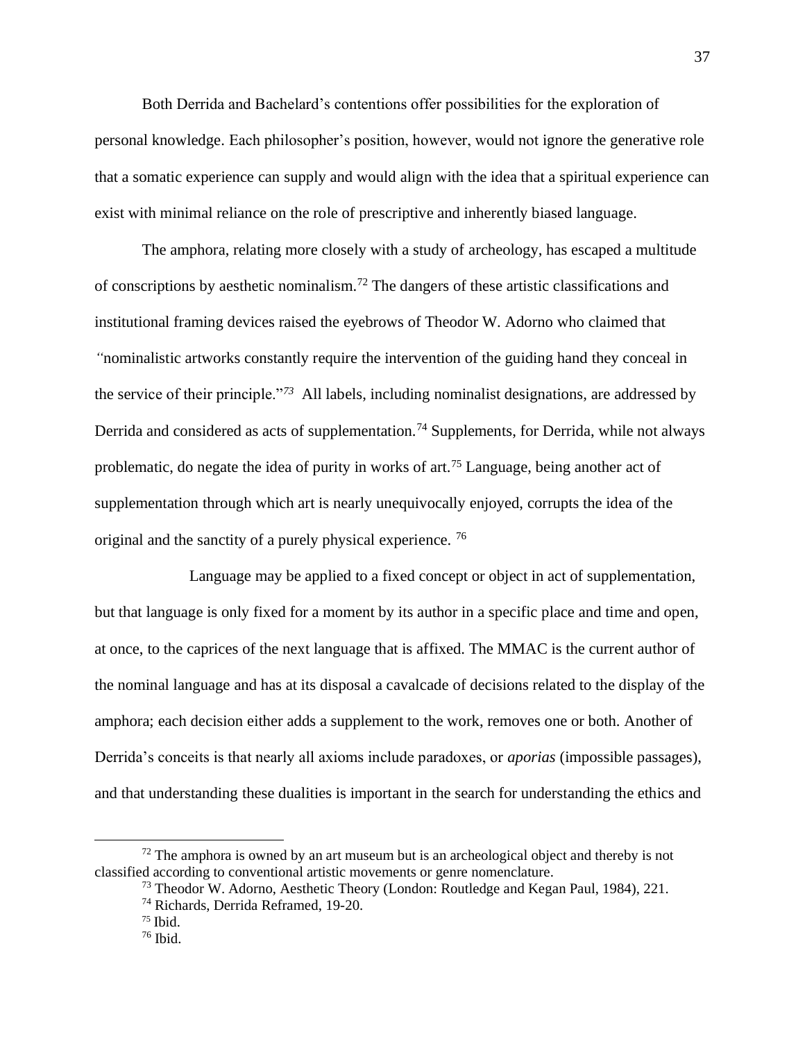Both Derrida and Bachelard's contentions offer possibilities for the exploration of personal knowledge. Each philosopher's position, however, would not ignore the generative role that a somatic experience can supply and would align with the idea that a spiritual experience can exist with minimal reliance on the role of prescriptive and inherently biased language.

The amphora, relating more closely with a study of archeology, has escaped a multitude of conscriptions by aesthetic nominalism.<sup>72</sup> The dangers of these artistic classifications and institutional framing devices raised the eyebrows of Theodor W. Adorno who claimed that *"*nominalistic artworks constantly require the intervention of the guiding hand they conceal in the service of their principle."*<sup>73</sup>* All labels, including nominalist designations, are addressed by Derrida and considered as acts of supplementation.<sup>74</sup> Supplements, for Derrida, while not always problematic, do negate the idea of purity in works of art.<sup>75</sup> Language, being another act of supplementation through which art is nearly unequivocally enjoyed, corrupts the idea of the original and the sanctity of a purely physical experience. <sup>76</sup>

Language may be applied to a fixed concept or object in act of supplementation, but that language is only fixed for a moment by its author in a specific place and time and open, at once, to the caprices of the next language that is affixed. The MMAC is the current author of the nominal language and has at its disposal a cavalcade of decisions related to the display of the amphora; each decision either adds a supplement to the work, removes one or both. Another of Derrida's conceits is that nearly all axioms include paradoxes, or *aporias* (impossible passages), and that understanding these dualities is important in the search for understanding the ethics and

 $72$  The amphora is owned by an art museum but is an archeological object and thereby is not classified according to conventional artistic movements or genre nomenclature.

<sup>&</sup>lt;sup>73</sup> Theodor W. Adorno, Aesthetic Theory (London: Routledge and Kegan Paul, 1984), 221.

<sup>74</sup> Richards, Derrida Reframed, 19-20.

 $75$  Ibid.

 $76$  Ibid.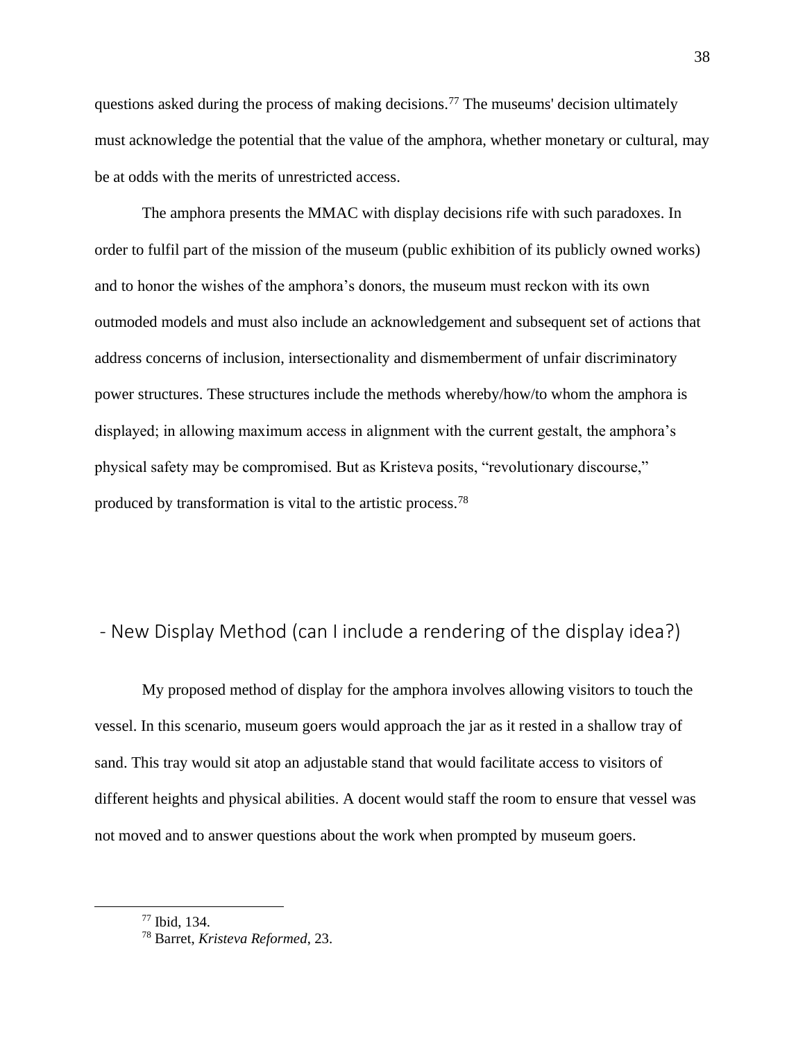questions asked during the process of making decisions.<sup>77</sup> The museums' decision ultimately must acknowledge the potential that the value of the amphora, whether monetary or cultural, may be at odds with the merits of unrestricted access.

The amphora presents the MMAC with display decisions rife with such paradoxes. In order to fulfil part of the mission of the museum (public exhibition of its publicly owned works) and to honor the wishes of the amphora's donors, the museum must reckon with its own outmoded models and must also include an acknowledgement and subsequent set of actions that address concerns of inclusion, intersectionality and dismemberment of unfair discriminatory power structures. These structures include the methods whereby/how/to whom the amphora is displayed; in allowing maximum access in alignment with the current gestalt, the amphora's physical safety may be compromised. But as Kristeva posits, "revolutionary discourse," produced by transformation is vital to the artistic process.<sup>78</sup>

## <span id="page-39-0"></span>- New Display Method (can I include a rendering of the display idea?)

My proposed method of display for the amphora involves allowing visitors to touch the vessel. In this scenario, museum goers would approach the jar as it rested in a shallow tray of sand. This tray would sit atop an adjustable stand that would facilitate access to visitors of different heights and physical abilities. A docent would staff the room to ensure that vessel was not moved and to answer questions about the work when prompted by museum goers.

<sup>77</sup> Ibid, 134.

<sup>78</sup> Barret, *Kristeva Reformed*, 23.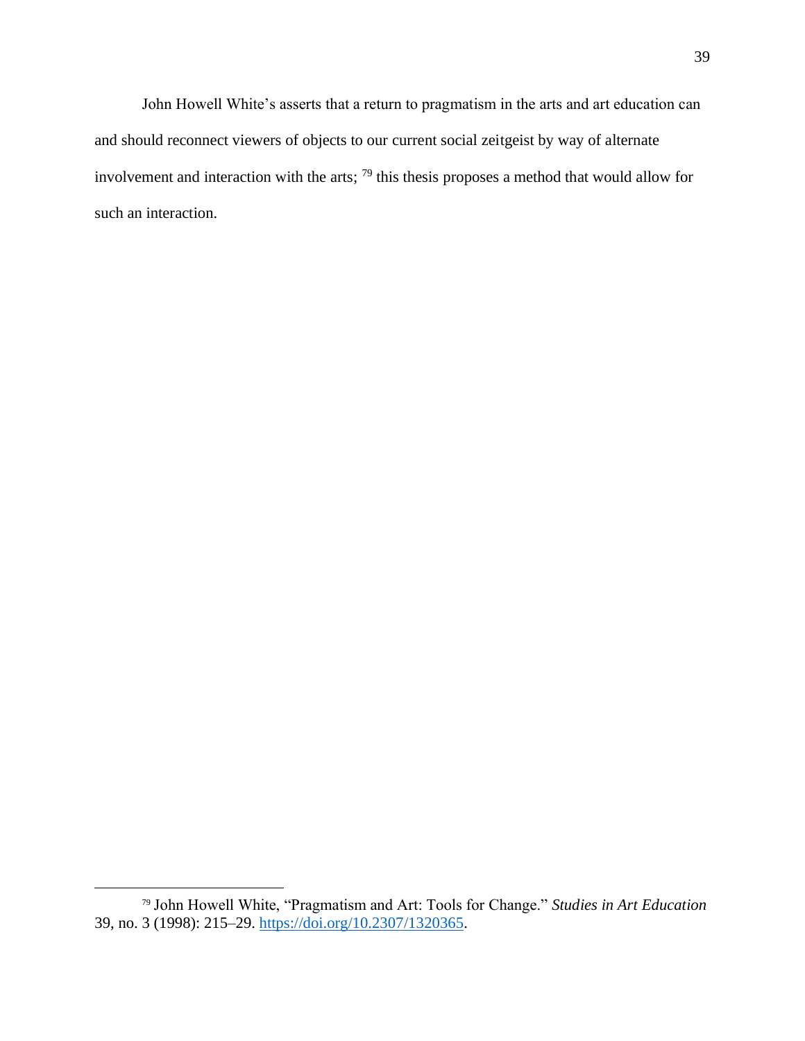John Howell White's asserts that a return to pragmatism in the arts and art education can and should reconnect viewers of objects to our current social zeitgeist by way of alternate involvement and interaction with the arts; <sup>79</sup> this thesis proposes a method that would allow for such an interaction.

<sup>79</sup> John Howell White, "Pragmatism and Art: Tools for Change." *Studies in Art Education* 39, no. 3 (1998): 215–29. [https://doi.org/10.2307/1320365.](https://doi.org/10.2307/1320365)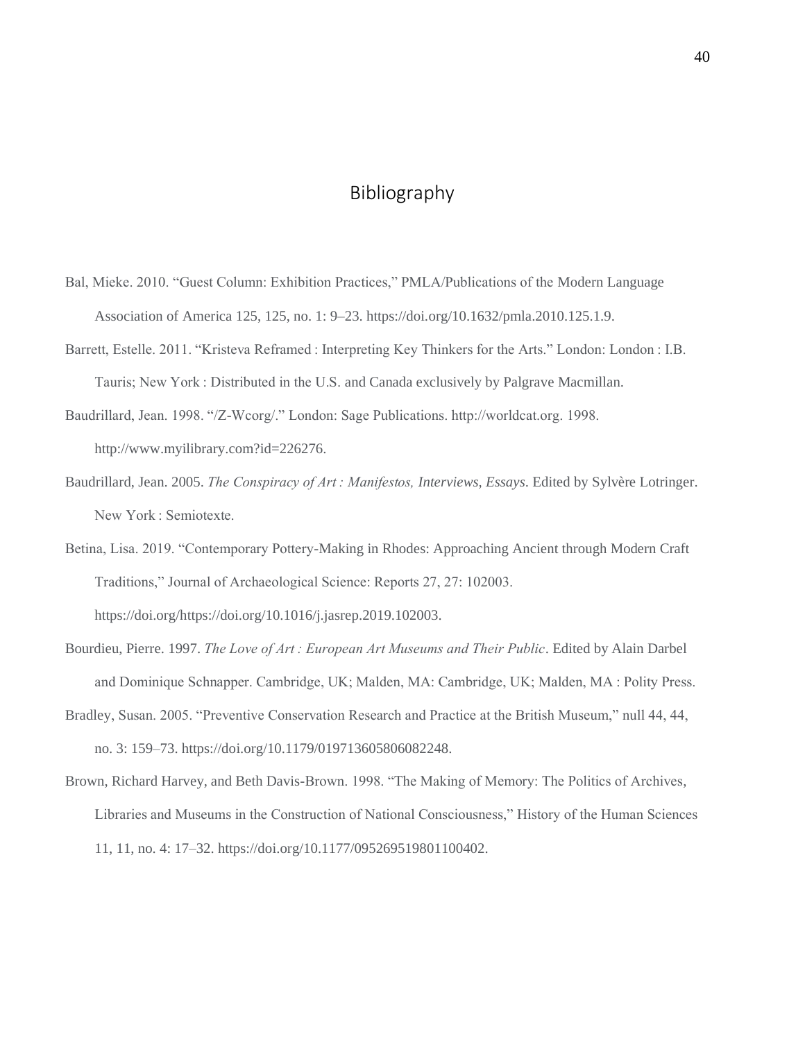## Bibliography

- <span id="page-41-0"></span>Bal, Mieke. 2010. "Guest Column: Exhibition Practices," PMLA/Publications of the Modern Language Association of America 125, 125, no. 1: 9–23. https://doi.org/10.1632/pmla.2010.125.1.9.
- Barrett, Estelle. 2011. "Kristeva Reframed : Interpreting Key Thinkers for the Arts." London: London : I.B. Tauris; New York : Distributed in the U.S. and Canada exclusively by Palgrave Macmillan.
- Baudrillard, Jean. 1998. "/Z-Wcorg/." London: Sage Publications. http://worldcat.org. 1998. http://www.myilibrary.com?id=226276.
- Baudrillard, Jean. 2005. *The Conspiracy of Art : Manifestos, Interviews, Essays*. Edited by Sylvère Lotringer. New York : Semiotexte.
- Betina, Lisa. 2019. "Contemporary Pottery-Making in Rhodes: Approaching Ancient through Modern Craft Traditions," Journal of Archaeological Science: Reports 27, 27: 102003. https://doi.org/https://doi.org/10.1016/j.jasrep.2019.102003.
- Bourdieu, Pierre. 1997. *The Love of Art : European Art Museums and Their Public*. Edited by Alain Darbel and Dominique Schnapper. Cambridge, UK; Malden, MA: Cambridge, UK; Malden, MA : Polity Press. Bradley, Susan. 2005. "Preventive Conservation Research and Practice at the British Museum," null 44, 44,

no. 3: 159–73. https://doi.org/10.1179/019713605806082248.

Brown, Richard Harvey, and Beth Davis-Brown. 1998. "The Making of Memory: The Politics of Archives, Libraries and Museums in the Construction of National Consciousness," History of the Human Sciences 11, 11, no. 4: 17–32. https://doi.org/10.1177/095269519801100402.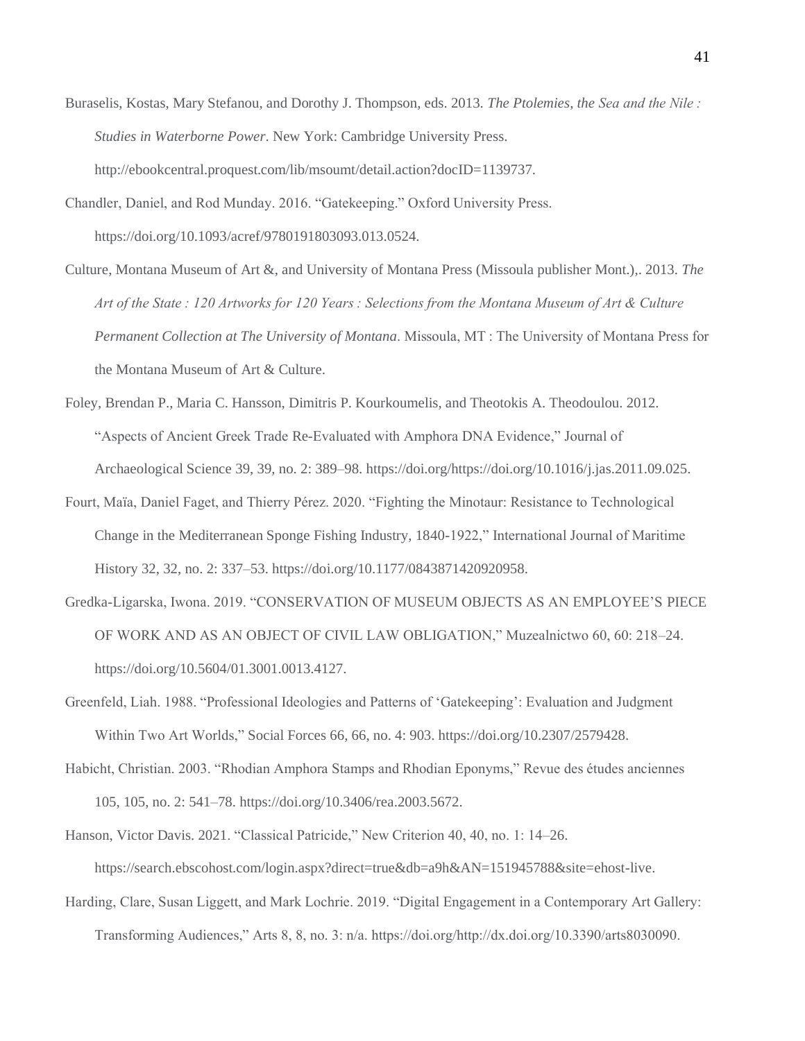- Buraselis, Kostas, Mary Stefanou, and Dorothy J. Thompson, eds. 2013. *The Ptolemies, the Sea and the Nile : Studies in Waterborne Power*. New York: Cambridge University Press. http://ebookcentral.proquest.com/lib/msoumt/detail.action?docID=1139737.
- Chandler, Daniel, and Rod Munday. 2016. "Gatekeeping." Oxford University Press. https://doi.org/10.1093/acref/9780191803093.013.0524.
- Culture, Montana Museum of Art &, and University of Montana Press (Missoula publisher Mont.),. 2013. *The Art of the State : 120 Artworks for 120 Years : Selections from the Montana Museum of Art & Culture Permanent Collection at The University of Montana*. Missoula, MT : The University of Montana Press for the Montana Museum of Art & Culture.
- Foley, Brendan P., Maria C. Hansson, Dimitris P. Kourkoumelis, and Theotokis A. Theodoulou. 2012. "Aspects of Ancient Greek Trade Re-Evaluated with Amphora DNA Evidence," Journal of Archaeological Science 39, 39, no. 2: 389–98. https://doi.org/https://doi.org/10.1016/j.jas.2011.09.025.
- Fourt, Maïa, Daniel Faget, and Thierry Pérez. 2020. "Fighting the Minotaur: Resistance to Technological Change in the Mediterranean Sponge Fishing Industry, 1840-1922," International Journal of Maritime History 32, 32, no. 2: 337–53. https://doi.org/10.1177/0843871420920958.
- Gredka-Ligarska, Iwona. 2019. "CONSERVATION OF MUSEUM OBJECTS AS AN EMPLOYEE'S PIECE OF WORK AND AS AN OBJECT OF CIVIL LAW OBLIGATION," Muzealnictwo 60, 60: 218–24. https://doi.org/10.5604/01.3001.0013.4127.
- Greenfeld, Liah. 1988. "Professional Ideologies and Patterns of 'Gatekeeping': Evaluation and Judgment Within Two Art Worlds," Social Forces 66, 66, no. 4: 903. https://doi.org/10.2307/2579428.
- Habicht, Christian. 2003. "Rhodian Amphora Stamps and Rhodian Eponyms," Revue des études anciennes 105, 105, no. 2: 541–78. https://doi.org/10.3406/rea.2003.5672.
- Hanson, Victor Davis. 2021. "Classical Patricide," New Criterion 40, 40, no. 1: 14–26. https://search.ebscohost.com/login.aspx?direct=true&db=a9h&AN=151945788&site=ehost-live.
- Harding, Clare, Susan Liggett, and Mark Lochrie. 2019. "Digital Engagement in a Contemporary Art Gallery: Transforming Audiences," Arts 8, 8, no. 3: n/a. https://doi.org/http://dx.doi.org/10.3390/arts8030090.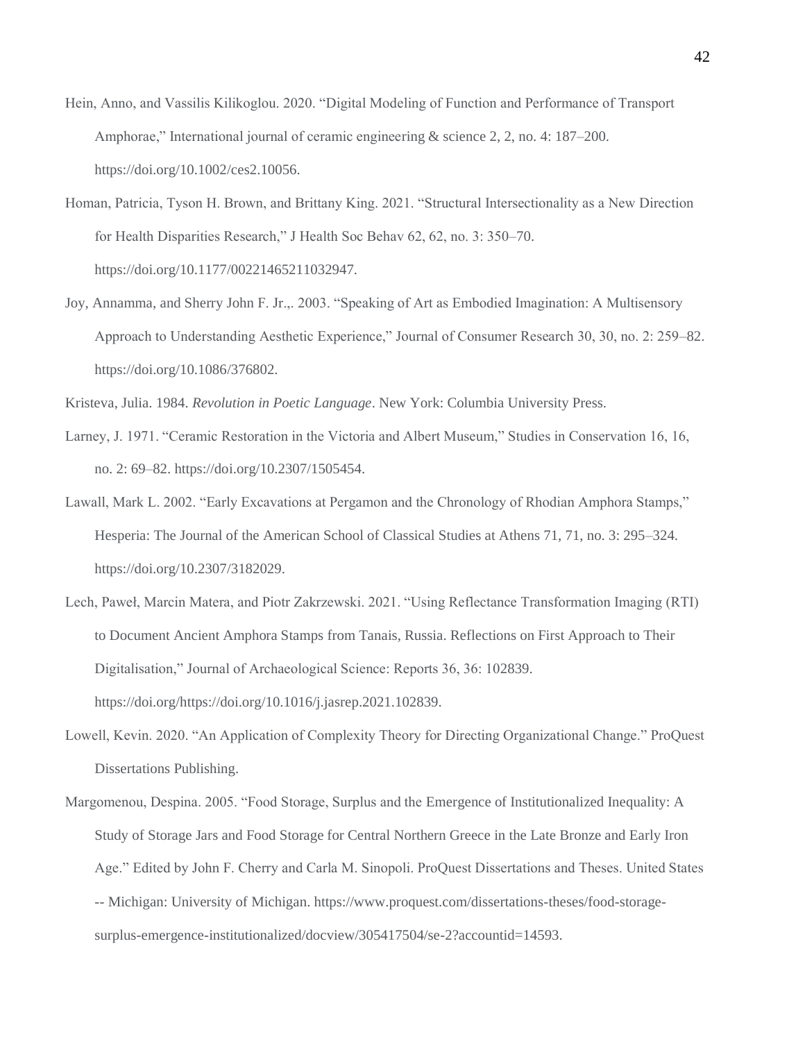- Hein, Anno, and Vassilis Kilikoglou. 2020. "Digital Modeling of Function and Performance of Transport Amphorae," International journal of ceramic engineering & science 2, 2, no. 4: 187–200. https://doi.org/10.1002/ces2.10056.
- Homan, Patricia, Tyson H. Brown, and Brittany King. 2021. "Structural Intersectionality as a New Direction for Health Disparities Research," J Health Soc Behav 62, 62, no. 3: 350–70. https://doi.org/10.1177/00221465211032947.
- Joy, Annamma, and Sherry John F. Jr.,. 2003. "Speaking of Art as Embodied Imagination: A Multisensory Approach to Understanding Aesthetic Experience," Journal of Consumer Research 30, 30, no. 2: 259–82. https://doi.org/10.1086/376802.

Kristeva, Julia. 1984. *Revolution in Poetic Language*. New York: Columbia University Press.

- Larney, J. 1971. "Ceramic Restoration in the Victoria and Albert Museum," Studies in Conservation 16, 16, no. 2: 69–82. https://doi.org/10.2307/1505454.
- Lawall, Mark L. 2002. "Early Excavations at Pergamon and the Chronology of Rhodian Amphora Stamps," Hesperia: The Journal of the American School of Classical Studies at Athens 71, 71, no. 3: 295–324. https://doi.org/10.2307/3182029.
- Lech, Paweł, Marcin Matera, and Piotr Zakrzewski. 2021. "Using Reflectance Transformation Imaging (RTI) to Document Ancient Amphora Stamps from Tanais, Russia. Reflections on First Approach to Their Digitalisation," Journal of Archaeological Science: Reports 36, 36: 102839. https://doi.org/https://doi.org/10.1016/j.jasrep.2021.102839.
- Lowell, Kevin. 2020. "An Application of Complexity Theory for Directing Organizational Change." ProQuest Dissertations Publishing.
- Margomenou, Despina. 2005. "Food Storage, Surplus and the Emergence of Institutionalized Inequality: A Study of Storage Jars and Food Storage for Central Northern Greece in the Late Bronze and Early Iron Age." Edited by John F. Cherry and Carla M. Sinopoli. ProQuest Dissertations and Theses. United States -- Michigan: University of Michigan. https://www.proquest.com/dissertations-theses/food-storagesurplus-emergence-institutionalized/docview/305417504/se-2?accountid=14593.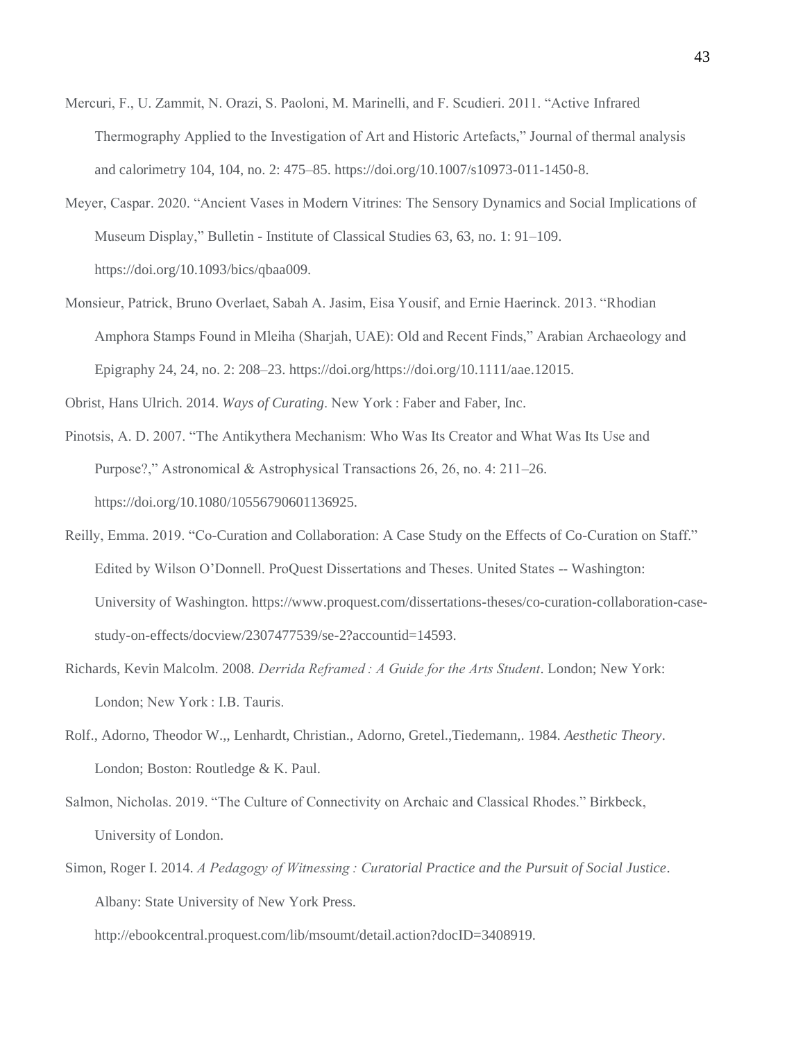- Mercuri, F., U. Zammit, N. Orazi, S. Paoloni, M. Marinelli, and F. Scudieri. 2011. "Active Infrared Thermography Applied to the Investigation of Art and Historic Artefacts," Journal of thermal analysis and calorimetry 104, 104, no. 2: 475–85. https://doi.org/10.1007/s10973-011-1450-8.
- Meyer, Caspar. 2020. "Ancient Vases in Modern Vitrines: The Sensory Dynamics and Social Implications of Museum Display," Bulletin - Institute of Classical Studies 63, 63, no. 1: 91–109. https://doi.org/10.1093/bics/qbaa009.
- Monsieur, Patrick, Bruno Overlaet, Sabah A. Jasim, Eisa Yousif, and Ernie Haerinck. 2013. "Rhodian Amphora Stamps Found in Mleiha (Sharjah, UAE): Old and Recent Finds," Arabian Archaeology and Epigraphy 24, 24, no. 2: 208–23. https://doi.org/https://doi.org/10.1111/aae.12015.

Obrist, Hans Ulrich. 2014. *Ways of Curating*. New York : Faber and Faber, Inc.

- Pinotsis, A. D. 2007. "The Antikythera Mechanism: Who Was Its Creator and What Was Its Use and Purpose?," Astronomical & Astrophysical Transactions 26, 26, no. 4: 211–26. https://doi.org/10.1080/10556790601136925.
- Reilly, Emma. 2019. "Co-Curation and Collaboration: A Case Study on the Effects of Co-Curation on Staff." Edited by Wilson O'Donnell. ProQuest Dissertations and Theses. United States -- Washington: University of Washington. https://www.proquest.com/dissertations-theses/co-curation-collaboration-casestudy-on-effects/docview/2307477539/se-2?accountid=14593.
- Richards, Kevin Malcolm. 2008. *Derrida Reframed : A Guide for the Arts Student*. London; New York: London; New York : I.B. Tauris.
- Rolf., Adorno, Theodor W.,, Lenhardt, Christian., Adorno, Gretel.,Tiedemann,. 1984. *Aesthetic Theory*. London; Boston: Routledge & K. Paul.
- Salmon, Nicholas. 2019. "The Culture of Connectivity on Archaic and Classical Rhodes." Birkbeck, University of London.
- Simon, Roger I. 2014. *A Pedagogy of Witnessing : Curatorial Practice and the Pursuit of Social Justice*. Albany: State University of New York Press.

http://ebookcentral.proquest.com/lib/msoumt/detail.action?docID=3408919.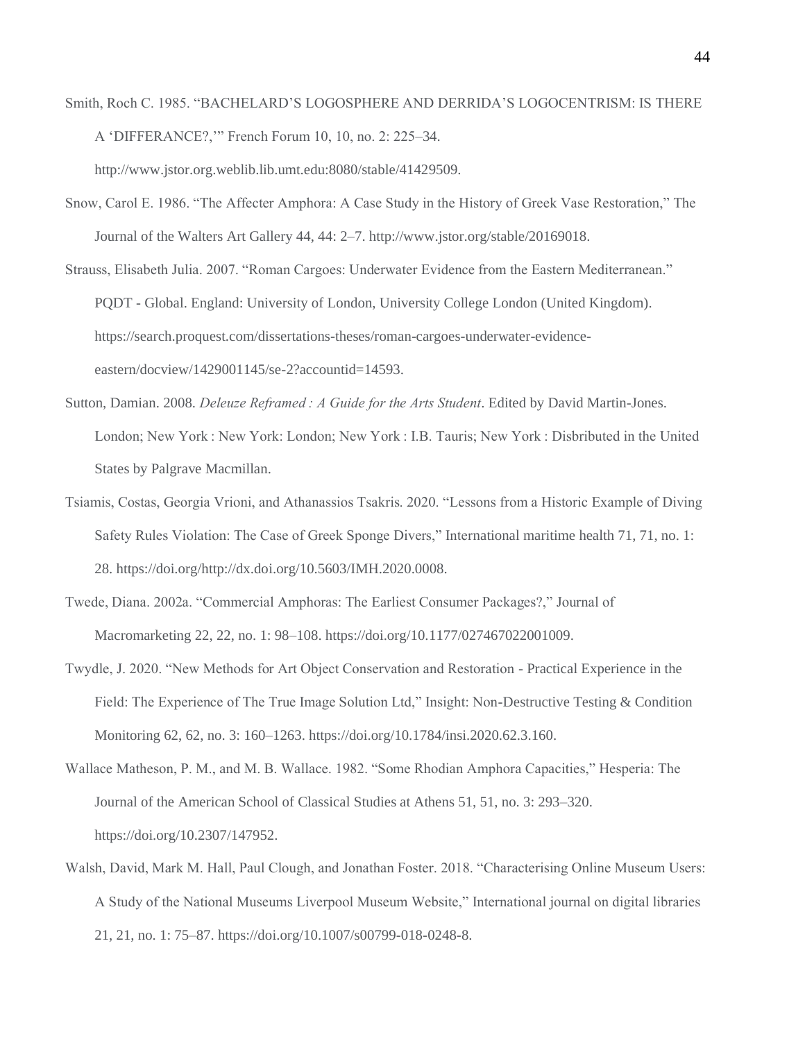Smith, Roch C. 1985. "BACHELARD'S LOGOSPHERE AND DERRIDA'S LOGOCENTRISM: IS THERE A 'DIFFERANCE?,'" French Forum 10, 10, no. 2: 225–34.

http://www.jstor.org.weblib.lib.umt.edu:8080/stable/41429509.

- Snow, Carol E. 1986. "The Affecter Amphora: A Case Study in the History of Greek Vase Restoration," The Journal of the Walters Art Gallery 44, 44: 2–7. http://www.jstor.org/stable/20169018.
- Strauss, Elisabeth Julia. 2007. "Roman Cargoes: Underwater Evidence from the Eastern Mediterranean." PQDT - Global. England: University of London, University College London (United Kingdom). https://search.proquest.com/dissertations-theses/roman-cargoes-underwater-evidenceeastern/docview/1429001145/se-2?accountid=14593.
- Sutton, Damian. 2008. *Deleuze Reframed : A Guide for the Arts Student*. Edited by David Martin-Jones. London; New York : New York: London; New York : I.B. Tauris; New York : Disbributed in the United States by Palgrave Macmillan.
- Tsiamis, Costas, Georgia Vrioni, and Athanassios Tsakris. 2020. "Lessons from a Historic Example of Diving Safety Rules Violation: The Case of Greek Sponge Divers," International maritime health 71, 71, no. 1: 28. https://doi.org/http://dx.doi.org/10.5603/IMH.2020.0008.
- Twede, Diana. 2002a. "Commercial Amphoras: The Earliest Consumer Packages?," Journal of Macromarketing 22, 22, no. 1: 98–108. https://doi.org/10.1177/027467022001009.
- Twydle, J. 2020. "New Methods for Art Object Conservation and Restoration Practical Experience in the Field: The Experience of The True Image Solution Ltd," Insight: Non-Destructive Testing & Condition Monitoring 62, 62, no. 3: 160–1263. https://doi.org/10.1784/insi.2020.62.3.160.
- Wallace Matheson, P. M., and M. B. Wallace. 1982. "Some Rhodian Amphora Capacities," Hesperia: The Journal of the American School of Classical Studies at Athens 51, 51, no. 3: 293–320. https://doi.org/10.2307/147952.
- Walsh, David, Mark M. Hall, Paul Clough, and Jonathan Foster. 2018. "Characterising Online Museum Users: A Study of the National Museums Liverpool Museum Website," International journal on digital libraries 21, 21, no. 1: 75–87. https://doi.org/10.1007/s00799-018-0248-8.